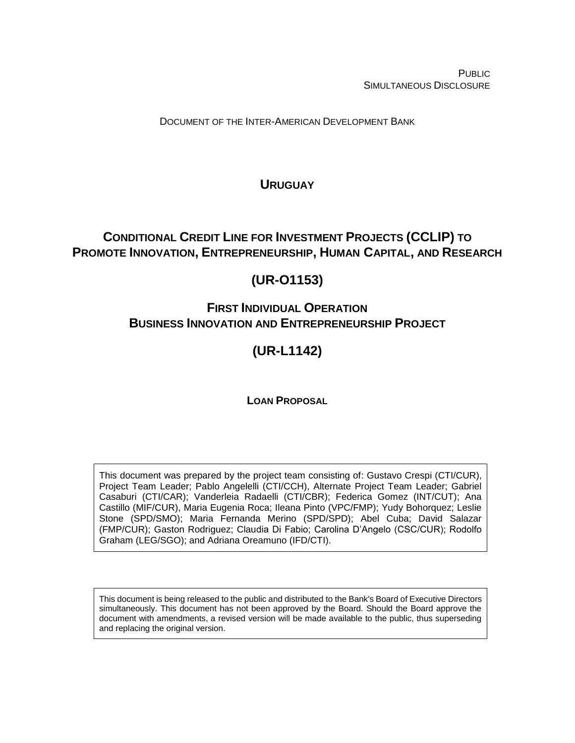PUBLIC SIMULTANEOUS DISCLOSURE

DOCUMENT OF THE INTER-AMERICAN DEVELOPMENT BANK

# <span id="page-0-0"></span>**URUGUAY**

# <span id="page-0-1"></span>**CONDITIONAL CREDIT LINE FOR INVESTMENT PROJECTS (CCLIP) TO PROMOTE INNOVATION, ENTREPRENEURSHIP, HUMAN CAPITAL, AND RESEARCH**

# <span id="page-0-2"></span>**(UR-O1153)**

# **FIRST INDIVIDUAL OPERATION BUSINESS INNOVATION AND ENTREPRENEURSHIP PROJECT**

# **(UR-L1142)**

## **LOAN PROPOSAL**

This document was prepared by the project team consisting of: Gustavo Crespi (CTI/CUR), Project Team Leader; Pablo Angelelli (CTI/CCH), Alternate Project Team Leader; Gabriel Casaburi (CTI/CAR); Vanderleia Radaelli (CTI/CBR); Federica Gomez (INT/CUT); Ana Castillo (MIF/CUR), Maria Eugenia Roca; Ileana Pinto (VPC/FMP); Yudy Bohorquez; Leslie Stone (SPD/SMO); Maria Fernanda Merino (SPD/SPD); Abel Cuba; David Salazar (FMP/CUR); Gaston Rodriguez; Claudia Di Fabio; Carolina D'Angelo (CSC/CUR); Rodolfo Graham (LEG/SGO); and Adriana Oreamuno (IFD/CTI).

This document is being released to the public and distributed to the Bank's Board of Executive Directors simultaneously. This document has not been approved by the Board. Should the Board approve the document with amendments, a revised version will be made available to the public, thus superseding and replacing the original version.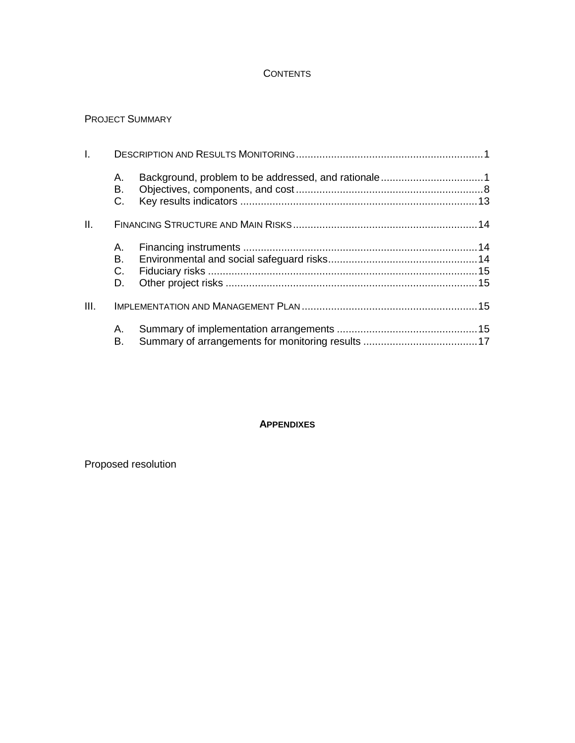### **CONTENTS**

### PROJECT SUMMARY

| $\mathbf{L}$ |                |  |
|--------------|----------------|--|
|              | А.<br>В.<br>C. |  |
| II.          |                |  |
|              | А.             |  |
|              | В.             |  |
|              | $C_{\cdot}$    |  |
|              | D.             |  |
| III.         |                |  |
|              | А.<br>В.       |  |

#### **APPENDIXES**

Proposed resolution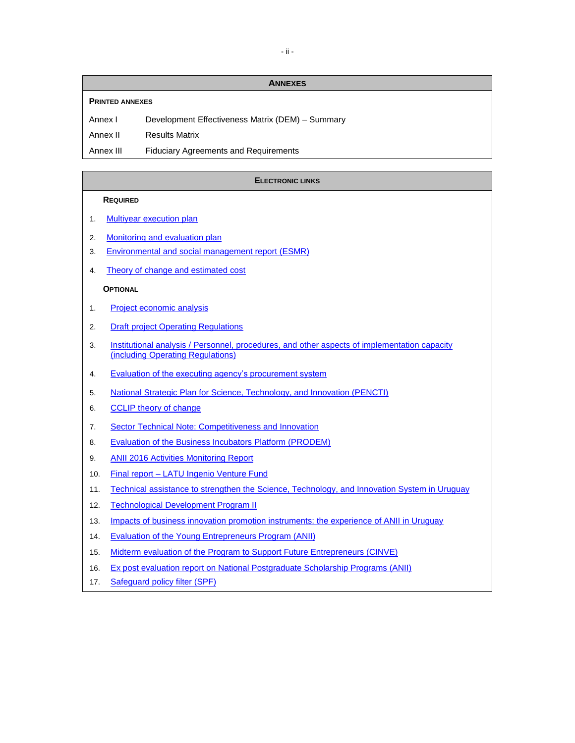**ANNEXES**

#### **PRINTED ANNEXES**

Annex I Development Effectiveness Matrix (DEM) – Summary

Annex II Results Matrix

Annex III Fiduciary Agreements and Requirements

#### **ELECTRONIC LINKS**

#### **REQUIRED**

- 1. Multiyear [execution plan](https://idbg.sharepoint.com/teams/EZ-UR-LON/UR-L1142/_layouts/15/DocIdRedir.aspx?ID=EZSHARE-2085936762-24)
- 2. [Monitoring and evaluation plan](https://idbg.sharepoint.com/teams/EZ-UR-LON/UR-L1142/_layouts/15/DocIdRedir.aspx?ID=EZSHARE-905749749-63)
- 3. [Environmental and social management report](https://idbg.sharepoint.com/teams/EZ-UR-LON/UR-L1142/_layouts/15/DocIdRedir.aspx?ID=EZSHARE-905749749-62) (ESMR)
- 4. [Theory of change and estimated cost](https://idbg.sharepoint.com/teams/EZ-UR-LON/UR-L1142/_layouts/15/DocIdRedir.aspx?ID=EZSHARE-905749749-64)

#### **OPTIONAL**

- 1. [Project economic analysis](https://idbg.sharepoint.com/teams/EZ-UR-LON/UR-L1142/_layouts/15/DocIdRedir.aspx?ID=EZSHARE-905749749-61)
- 2. Draft project [Operating Regulations](https://idbg.sharepoint.com/teams/EZ-UR-LON/UR-L1142/_layouts/15/DocIdRedir.aspx?ID=EZSHARE-905749749-51)
- 3. Institutional analysis / [Personnel, procedures, and other aspects of implementation capacity](https://idbg.sharepoint.com/teams/EZ-UR-LON/UR-L1142/_layouts/15/DocIdRedir.aspx?ID=EZSHARE-2085936762-17)  [\(including Operating Regulations\)](https://idbg.sharepoint.com/teams/EZ-UR-LON/UR-L1142/_layouts/15/DocIdRedir.aspx?ID=EZSHARE-2085936762-17)
- 4. [Evaluation of the executing agency's procurement system](https://idbg.sharepoint.com/teams/EZ-UR-LON/UR-L1142/_layouts/15/DocIdRedir.aspx?ID=EZSHARE-905749749-31)
- 5. [National Strategic Plan for Science, Technology, and Innovation \(PENCTI\)](https://idbg.sharepoint.com/teams/EZ-UR-LON/UR-L1142/_layouts/15/DocIdRedir.aspx?ID=EZSHARE-2085936762-19)
- 6. [CCLIP theory of change](https://idbg.sharepoint.com/teams/EZ-UR-LON/UR-L1142/_layouts/15/DocIdRedir.aspx?ID=EZSHARE-905749749-9)
- 7. [Sector Technical Note: Competitiveness and Innovation](https://idbg.sharepoint.com/teams/EZ-UR-LON/UR-L1142/_layouts/15/DocIdRedir.aspx?ID=EZSHARE-905749749-10)
- 8. [Evaluation of the Business Incubators Platform \(PRODEM\)](https://idbg.sharepoint.com/teams/EZ-UR-LON/UR-L1142/_layouts/15/DocIdRedir.aspx?ID=EZSHARE-905749749-11)
- 9. [ANII 2016 Activities Monitoring Report](https://idbg.sharepoint.com/teams/EZ-UR-LON/UR-L1142/_layouts/15/DocIdRedir.aspx?ID=EZSHARE-905749749-12)
- 10. Final report [LATU Ingenio Venture Fund](https://idbg.sharepoint.com/teams/EZ-UR-LON/UR-L1142/_layouts/15/DocIdRedir.aspx?ID=EZSHARE-905749749-13)
- 11. [Technical assistance to strengthen the Science,](https://idbg.sharepoint.com/teams/EZ-UR-LON/UR-L1142/_layouts/15/DocIdRedir.aspx?ID=EZSHARE-2085936762-18) Technology, and Innovation System in Uruguay
- 12. [Technological Development Program II](https://idbg.sharepoint.com/teams/EZ-UR-LON/UR-L1142/_layouts/15/DocIdRedir.aspx?ID=EZSHARE-905749749-8)
- 13. [Impacts of business innovation promotion instruments: the experience of ANII in Uruguay](https://idbg.sharepoint.com/teams/EZ-UR-LON/UR-L1142/_layouts/15/DocIdRedir.aspx?ID=EZSHARE-2085936762-21)
- 14. [Evaluation of the Young Entrepreneurs Program \(ANII\)](https://idbg.sharepoint.com/teams/EZ-UR-LON/UR-L1142/_layouts/15/DocIdRedir.aspx?ID=EZSHARE-2085936762-22)
- 15. [Midterm evaluation of the Program to Support Future Entrepreneurs \(CINVE\)](https://idbg.sharepoint.com/teams/EZ-UR-LON/UR-L1142/_layouts/15/DocIdRedir.aspx?ID=EZSHARE-2085936762-23)
- 16. Ex post evaluation report on National Postgraduate Scholarship Programs (ANII)
- 17. [Safeguard policy filter \(SPF\)](http://idbdocs.iadb.org/wsdocs/getDocument.aspx?DOCNUM=EZSHARE-845092091-14)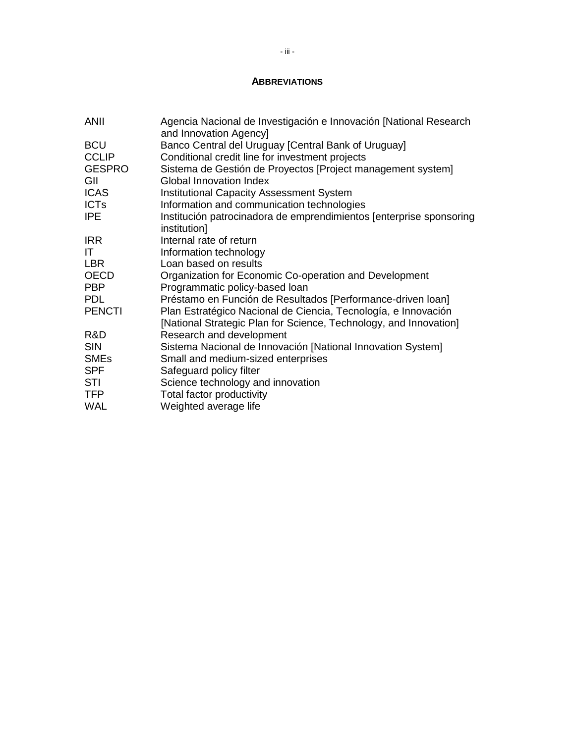### **ABBREVIATIONS**

| <b>ANII</b>            | Agencia Nacional de Investigación e Innovación [National Research<br>and Innovation Agency] |
|------------------------|---------------------------------------------------------------------------------------------|
| <b>BCU</b>             | Banco Central del Uruguay [Central Bank of Uruguay]                                         |
| <b>CCLIP</b>           | Conditional credit line for investment projects                                             |
| <b>GESPRO</b>          | Sistema de Gestión de Proyectos [Project management system]                                 |
| GII                    | <b>Global Innovation Index</b>                                                              |
| <b>ICAS</b>            | <b>Institutional Capacity Assessment System</b>                                             |
| <b>ICTs</b>            | Information and communication technologies                                                  |
| <b>IPE</b>             | Institución patrocinadora de emprendimientos [enterprise sponsoring<br>institution]         |
| <b>IRR</b>             | Internal rate of return                                                                     |
| ΙT                     | Information technology                                                                      |
| LBR                    | Loan based on results                                                                       |
| <b>OECD</b>            | Organization for Economic Co-operation and Development                                      |
| <b>PBP</b>             | Programmatic policy-based loan                                                              |
| <b>PDL</b>             | Préstamo en Función de Resultados [Performance-driven loan]                                 |
| <b>PENCTI</b>          | Plan Estratégico Nacional de Ciencia, Tecnología, e Innovación                              |
|                        | [National Strategic Plan for Science, Technology, and Innovation]                           |
| R&D                    | Research and development                                                                    |
| <b>SIN</b>             | Sistema Nacional de Innovación [National Innovation System]                                 |
| <b>SME<sub>s</sub></b> | Small and medium-sized enterprises                                                          |
| <b>SPF</b>             | Safeguard policy filter                                                                     |
| STI                    | Science technology and innovation                                                           |
| <b>TFP</b>             | Total factor productivity                                                                   |
| <b>WAL</b>             | Weighted average life                                                                       |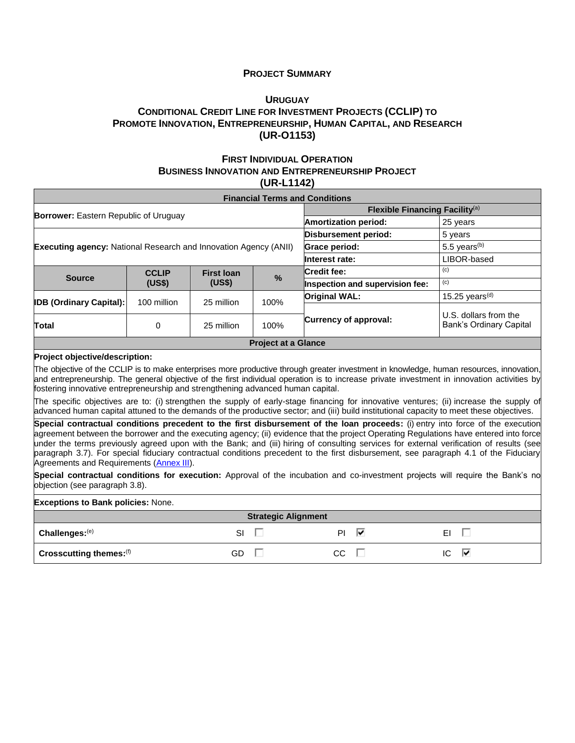#### **PROJECT SUMMARY**

### **U[RUGUAY](#page-0-0) C[ONDITIONAL](#page-0-1) CREDIT LINE FOR INVESTMENT PROJECTS (CCLIP) TO PROMOTE INNOVATION, E[NTREPRENEURSHIP](#page-0-1), HUMAN CAPITAL, AND RESEARCH [\(UR-O1153\)](#page-0-2)**

#### **FIRST INDIVIDUAL OPERATION BUSINESS INNOVATION AND ENTREPRENEURSHIP PROJECT (UR-L1142)**

|                                                                         |                                   |            |                                            | <b>Financial Terms and Conditions</b> |                            |  |
|-------------------------------------------------------------------------|-----------------------------------|------------|--------------------------------------------|---------------------------------------|----------------------------|--|
|                                                                         |                                   |            | Flexible Financing Facility <sup>(a)</sup> |                                       |                            |  |
| <b>Borrower:</b> Eastern Republic of Uruguay                            |                                   |            |                                            | <b>Amortization period:</b>           | 25 years                   |  |
|                                                                         |                                   |            |                                            | Disbursement period:                  | 5 years                    |  |
| <b>Executing agency: National Research and Innovation Agency (ANII)</b> |                                   |            |                                            | Grace period:                         | 5.5 years $(b)$            |  |
|                                                                         |                                   |            |                                            | Interest rate:                        | LIBOR-based                |  |
|                                                                         | <b>CCLIP</b><br><b>First loan</b> |            |                                            | <b>Credit fee:</b>                    | (c)                        |  |
| <b>Source</b>                                                           | (US\$)                            | (US\$)     | $\frac{9}{6}$                              | Inspection and supervision fee:       | (c)                        |  |
| <b>IDB (Ordinary Capital):</b>                                          | 100 million                       | 25 million | 100%                                       | <b>Original WAL:</b>                  | 15.25 years <sup>(d)</sup> |  |
|                                                                         |                                   |            |                                            |                                       | U.S. dollars from the      |  |
| Total                                                                   | 0                                 | 25 million | 100%                                       | Currency of approval:                 | Bank's Ordinary Capital    |  |
|                                                                         |                                   |            | <b>Project at a Glance</b>                 |                                       |                            |  |
| <b>Project objective/description:</b>                                   |                                   |            |                                            |                                       |                            |  |

The objective of the CCLIP is to make enterprises more productive through greater investment in knowledge, human resources, innovation, and entrepreneurship. The general objective of the first individual operation is to increase private investment in innovation activities by fostering innovative entrepreneurship and strengthening advanced human capital.

The specific objectives are to: (i) strengthen the supply of early-stage financing for innovative ventures; (ii) increase the supply of advanced human capital attuned to the demands of the productive sector; and (iii) build institutional capacity to meet these objectives.

**Special contractual conditions precedent to the first disbursement of the loan proceeds:** (i) entry into force of the execution agreement between the borrower and the executing agency; (ii) evidence that the project Operating Regulations have entered into force under the terms previously agreed upon with the Bank; and (iii) hiring of consulting services for external verification of results (see paragraph 3.7). For special fiduciary contractual conditions precedent to the first disbursement, see paragraph 4.1 of the Fiduciary Agreements and Requirements [\(Annex III\)](https://idbg.sharepoint.com/teams/EZ-UR-LON/UR-L1142/_layouts/15/DocIdRedir.aspx?ID=EZSHARE-905749749-66).

**Special contractual conditions for execution:** Approval of the incubation and co-investment projects will require the Bank's no objection (see paragraph [3.8\)](#page-22-0).

| <b>Exceptions to Bank policies: None.</b> |    |  |     |   |          |  |  |  |  |
|-------------------------------------------|----|--|-----|---|----------|--|--|--|--|
| <b>Strategic Alignment</b>                |    |  |     |   |          |  |  |  |  |
| Challenges: (e)                           | SI |  | ΡI  | ▽ | ΕI       |  |  |  |  |
| Crosscutting themes: (f)                  | GD |  | CC. |   | IC.<br>₩ |  |  |  |  |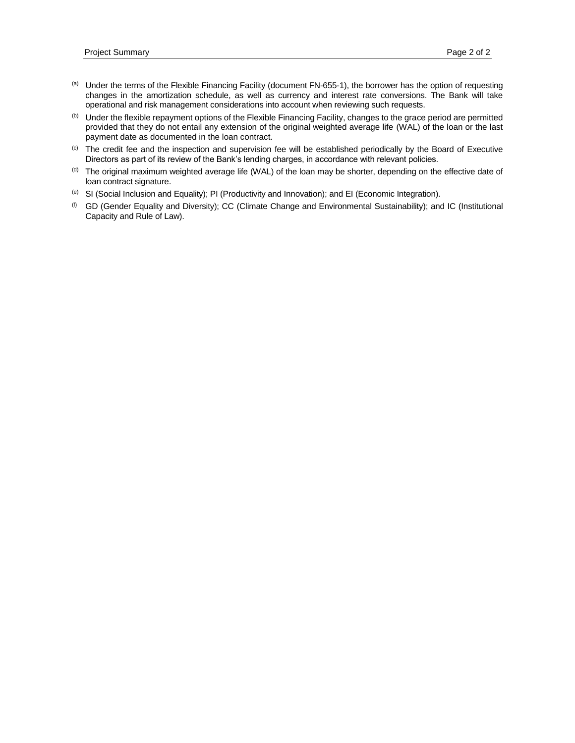- (a) Under the terms of the Flexible Financing Facility (document FN-655-1), the borrower has the option of requesting changes in the amortization schedule, as well as currency and interest rate conversions. The Bank will take operational and risk management considerations into account when reviewing such requests.
- (b) Under the flexible repayment options of the Flexible Financing Facility, changes to the grace period are permitted provided that they do not entail any extension of the original weighted average life (WAL) of the loan or the last payment date as documented in the loan contract.
- (c) The credit fee and the inspection and supervision fee will be established periodically by the Board of Executive Directors as part of its review of the Bank's lending charges, in accordance with relevant policies.
- (d) The original maximum weighted average life (WAL) of the loan may be shorter, depending on the effective date of loan contract signature.
- $^{(e)}$  SI (Social Inclusion and Equality); PI (Productivity and Innovation); and EI (Economic Integration).
- (f) GD (Gender Equality and Diversity); CC (Climate Change and Environmental Sustainability); and IC (Institutional Capacity and Rule of Law).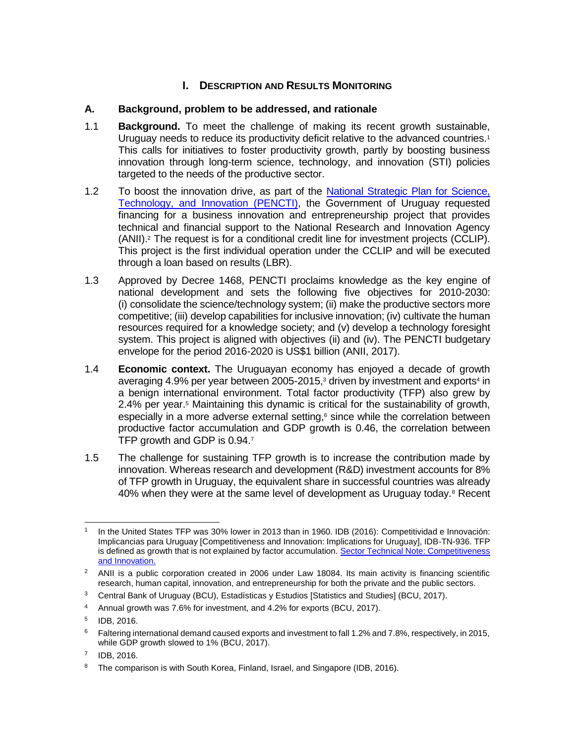### **I.** DESCRIPTION AND RESULTS MONITORING

### **A. Background, problem to be addressed, and rationale**

- 1.1 **Background.** To meet the challenge of making its recent growth sustainable, Uruguay needs to reduce its productivity deficit relative to the advanced countries.<sup>1</sup> This calls for initiatives to foster productivity growth, partly by boosting business innovation through long-term science, technology, and innovation (STI) policies targeted to the needs of the productive sector.
- 1.2 To boost the innovation drive, as part of the [National Strategic Plan for Science,](https://idbg.sharepoint.com/teams/EZ-UR-LON/UR-L1142/_layouts/15/DocIdRedir.aspx?ID=EZSHARE-2085936762-19)  [Technology, and Innovation \(PENCTI\),](https://idbg.sharepoint.com/teams/EZ-UR-LON/UR-L1142/_layouts/15/DocIdRedir.aspx?ID=EZSHARE-2085936762-19) the Government of Uruguay requested financing for a business innovation and entrepreneurship project that provides technical and financial support to the National Research and Innovation Agency (ANII).<sup>2</sup> The request is for a conditional credit line for investment projects (CCLIP). This project is the first individual operation under the CCLIP and will be executed through a loan based on results (LBR).
- 1.3 Approved by Decree 1468, PENCTI proclaims knowledge as the key engine of national development and sets the following five objectives for 2010-2030: (i) consolidate the science/technology system; (ii) make the productive sectors more competitive; (iii) develop capabilities for inclusive innovation; (iv) cultivate the human resources required for a knowledge society; and (v) develop a technology foresight system. This project is aligned with objectives (ii) and (iv). The PENCTI budgetary envelope for the period 2016-2020 is US\$1 billion (ANII, 2017).
- 1.4 **Economic context.** The Uruguayan economy has enjoyed a decade of growth averaging 4.9% per year between 2005-2015, $3$  driven by investment and exports<sup>4</sup> in a benign international environment. Total factor productivity (TFP) also grew by 2.4% per year. <sup>5</sup> Maintaining this dynamic is critical for the sustainability of growth, especially in a more adverse external setting, $6$  since while the correlation between productive factor accumulation and GDP growth is 0.46, the correlation between TFP growth and GDP is 0.94.7
- 1.5 The challenge for sustaining TFP growth is to increase the contribution made by innovation. Whereas research and development (R&D) investment accounts for 8% of TFP growth in Uruguay, the equivalent share in successful countries was already 40% when they were at the same level of development as Uruguay today.<sup>8</sup> Recent

 1 In the United States TFP was 30% lower in 2013 than in 1960. IDB (2016): Competitividad e Innovación: Implicancias para Uruguay [Competitiveness and Innovation: Implications for Uruguay], IDB-TN-936. TFP is defined as growth that is not explained by factor accumulation. Sector Technical Note: Competitiveness [and Innovation.](https://idbg.sharepoint.com/teams/EZ-UR-LON/UR-L1142/_layouts/15/DocIdRedir.aspx?ID=EZSHARE-905749749-10)

<sup>&</sup>lt;sup>2</sup> ANII is a public corporation created in 2006 under Law 18084. Its main activity is financing scientific research, human capital, innovation, and entrepreneurship for both the private and the public sectors.

<sup>&</sup>lt;sup>3</sup> Central Bank of Uruguay (BCU), Estadísticas y Estudios [Statistics and Studies] (BCU, 2017).

<sup>&</sup>lt;sup>4</sup> Annual growth was 7.6% for investment, and 4.2% for exports (BCU, 2017).

<sup>5</sup> IDB, 2016.

 $6$  Faltering international demand caused exports and investment to fall 1.2% and 7.8%, respectively, in 2015, while GDP growth slowed to 1% (BCU, 2017).

<sup>7</sup> IDB, 2016.

<sup>&</sup>lt;sup>8</sup> The comparison is with South Korea, Finland, Israel, and Singapore (IDB, 2016).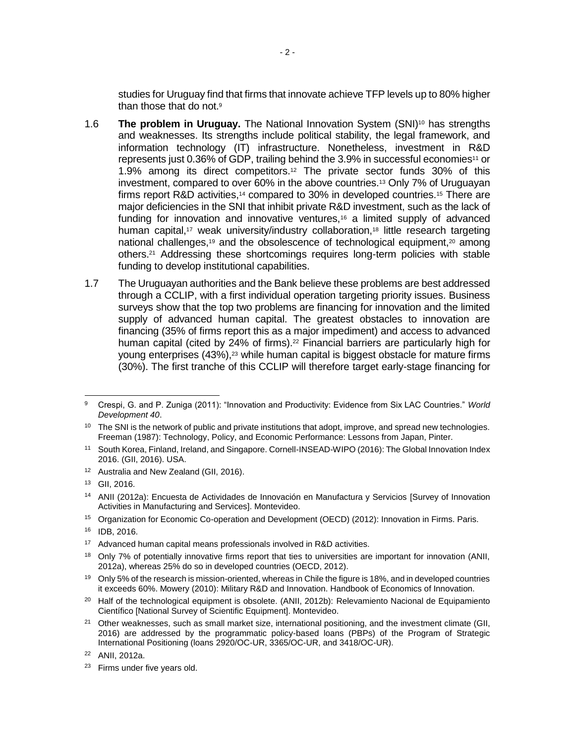studies for Uruguay find that firms that innovate achieve TFP levels up to 80% higher than those that do not.<sup>9</sup>

- 1.6 **The problem in Uruguay.** The National Innovation System (SNI)<sup>10</sup> has strengths and weaknesses. Its strengths include political stability, the legal framework, and information technology (IT) infrastructure. Nonetheless, investment in R&D represents just 0.36% of GDP, trailing behind the 3.9% in successful economies<sup>11</sup> or 1.9% among its direct competitors.<sup>12</sup> The private sector funds 30% of this investment, compared to over 60% in the above countries. <sup>13</sup> Only 7% of Uruguayan firms report R&D activities,<sup>14</sup> compared to 30% in developed countries.<sup>15</sup> There are major deficiencies in the SNI that inhibit private R&D investment, such as the lack of funding for innovation and innovative ventures,<sup>16</sup> a limited supply of advanced human capital,<sup>17</sup> weak university/industry collaboration,<sup>18</sup> little research targeting national challenges,<sup>19</sup> and the obsolescence of technological equipment,<sup>20</sup> among others.<sup>21</sup> Addressing these shortcomings requires long-term policies with stable funding to develop institutional capabilities.
- 1.7 The Uruguayan authorities and the Bank believe these problems are best addressed through a CCLIP, with a first individual operation targeting priority issues. Business surveys show that the top two problems are financing for innovation and the limited supply of advanced human capital. The greatest obstacles to innovation are financing (35% of firms report this as a major impediment) and access to advanced human capital (cited by 24% of firms).<sup>22</sup> Financial barriers are particularly high for young enterprises  $(43\%)$ ,<sup>23</sup> while human capital is biggest obstacle for mature firms (30%). The first tranche of this CCLIP will therefore target early-stage financing for

 $\overline{a}$ <sup>9</sup> Crespi, G. and P. Zuniga (2011): "Innovation and Productivity: Evidence from Six LAC Countries." *World Development 40*.

<sup>&</sup>lt;sup>10</sup> The SNI is the network of public and private institutions that adopt, improve, and spread new technologies. Freeman (1987): Technology, Policy, and Economic Performance: Lessons from Japan, Pinter.

<sup>11</sup> South Korea, Finland, Ireland, and Singapore. Cornell-INSEAD-WIPO (2016): The Global Innovation Index 2016. (GII, 2016). USA.

<sup>&</sup>lt;sup>12</sup> Australia and New Zealand (GII, 2016).

<sup>13</sup> GII, 2016.

<sup>14</sup> ANII (2012a): Encuesta de Actividades de Innovación en Manufactura y Servicios [Survey of Innovation Activities in Manufacturing and Services]. Montevideo.

<sup>15</sup> Organization for Economic Co-operation and Development (OECD) (2012): Innovation in Firms. Paris.

<sup>16</sup> IDB, 2016.

<sup>&</sup>lt;sup>17</sup> Advanced human capital means professionals involved in R&D activities.

<sup>&</sup>lt;sup>18</sup> Only 7% of potentially innovative firms report that ties to universities are important for innovation (ANII, 2012a), whereas 25% do so in developed countries (OECD, 2012).

<sup>&</sup>lt;sup>19</sup> Only 5% of the research is mission-oriented, whereas in Chile the figure is 18%, and in developed countries it exceeds 60%. Mowery (2010): Military R&D and Innovation. Handbook of Economics of Innovation.

<sup>&</sup>lt;sup>20</sup> Half of the technological equipment is obsolete. (ANII, 2012b): Relevamiento Nacional de Equipamiento Científico [National Survey of Scientific Equipment]. Montevideo.

 $21$  Other weaknesses, such as small market size, international positioning, and the investment climate (GII, 2016) are addressed by the programmatic policy-based loans (PBPs) of the Program of Strategic International Positioning (loans 2920/OC-UR, 3365/OC-UR, and 3418/OC-UR).

<sup>22</sup> ANII, 2012a.

<sup>&</sup>lt;sup>23</sup> Firms under five years old.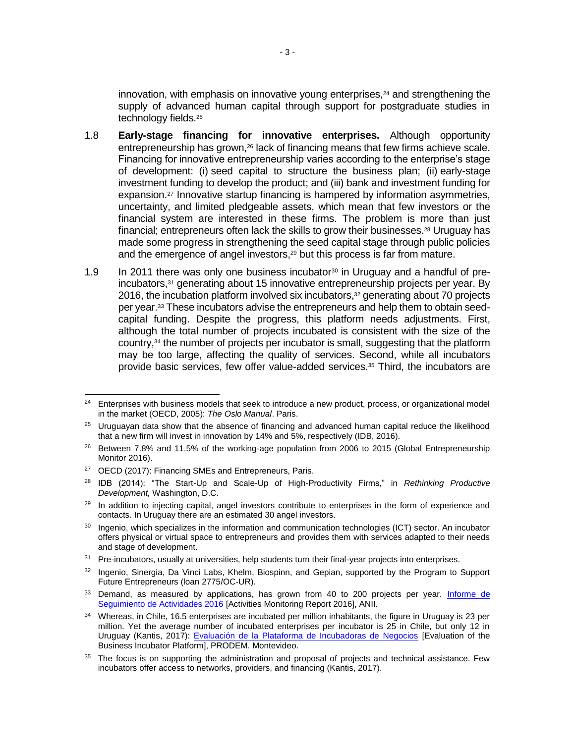innovation, with emphasis on innovative young enterprises, <sup>24</sup> and strengthening the supply of advanced human capital through support for postgraduate studies in technology fields. 25

- 1.8 **Early-stage financing for innovative enterprises.** Although opportunity entrepreneurship has grown,<sup>26</sup> lack of financing means that few firms achieve scale. Financing for innovative entrepreneurship varies according to the enterprise's stage of development: (i) seed capital to structure the business plan; (ii) early-stage investment funding to develop the product; and (iii) bank and investment funding for expansion.<sup>27</sup> Innovative startup financing is hampered by information asymmetries, uncertainty, and limited pledgeable assets, which mean that few investors or the financial system are interested in these firms. The problem is more than just financial; entrepreneurs often lack the skills to grow their businesses.<sup>28</sup> Uruguay has made some progress in strengthening the seed capital stage through public policies and the emergence of angel investors, <sup>29</sup> but this process is far from mature.
- 1.9 In 2011 there was only one business incubator<sup>30</sup> in Uruguay and a handful of preincubators,<sup>31</sup> generating about 15 innovative entrepreneurship projects per year. By 2016, the incubation platform involved six incubators, <sup>32</sup> generating about 70 projects per year. <sup>33</sup> These incubators advise the entrepreneurs and help them to obtain seedcapital funding. Despite the progress, this platform needs adjustments. First, although the total number of projects incubated is consistent with the size of the country,<sup>34</sup> the number of projects per incubator is small, suggesting that the platform may be too large, affecting the quality of services. Second, while all incubators provide basic services, few offer value-added services.<sup>35</sup> Third, the incubators are

 $24$ <sup>24</sup> Enterprises with business models that seek to introduce a new product, process, or organizational model in the market (OECD, 2005): *The Oslo Manual*. Paris.

 $25$  Uruguayan data show that the absence of financing and advanced human capital reduce the likelihood that a new firm will invest in innovation by 14% and 5%, respectively (IDB, 2016).

<sup>&</sup>lt;sup>26</sup> Between 7.8% and 11.5% of the working-age population from 2006 to 2015 (Global Entrepreneurship Monitor 2016).

<sup>27</sup> OECD (2017): Financing SMEs and Entrepreneurs, Paris.

<sup>28</sup> IDB (2014): "The Start-Up and Scale-Up of High-Productivity Firms," in *Rethinking Productive Development,* Washington, D.C.

<sup>&</sup>lt;sup>29</sup> In addition to injecting capital, angel investors contribute to enterprises in the form of experience and contacts. In Uruguay there are an estimated 30 angel investors.

<sup>&</sup>lt;sup>30</sup> Ingenio, which specializes in the information and communication technologies (ICT) sector. An incubator offers physical or virtual space to entrepreneurs and provides them with services adapted to their needs and stage of development.

<sup>&</sup>lt;sup>31</sup> Pre-incubators, usually at universities, help students turn their final-year projects into enterprises.

<sup>&</sup>lt;sup>32</sup> Ingenio, Sinergia, Da Vinci Labs, Khelm, Biospinn, and Gepian, supported by the Program to Support Future Entrepreneurs (loan 2775/OC-UR).

<sup>&</sup>lt;sup>33</sup> Demand, as measured by applications, has grown from 40 to 200 projects per year. Informe de [Seguimiento de Actividades 2016](https://idbg.sharepoint.com/teams/EZ-UR-LON/UR-L1142/_layouts/15/DocIdRedir.aspx?ID=EZSHARE-905749749-12) [Activities Monitoring Report 2016], ANII.

 $34$  Whereas, in Chile, 16.5 enterprises are incubated per million inhabitants, the figure in Uruguay is 23 per million. Yet the average number of incubated enterprises per incubator is 25 in Chile, but only 12 in Uruguay (Kantis, 2017): [Evaluación de la Plataforma de Incubadoras de Negocios](https://idbg.sharepoint.com/teams/EZ-UR-LON/UR-L1142/_layouts/15/DocIdRedir.aspx?ID=EZSHARE-905749749-11) [Evaluation of the Business Incubator Platform], PRODEM. Montevideo.

<sup>&</sup>lt;sup>35</sup> The focus is on supporting the administration and proposal of projects and technical assistance. Few incubators offer access to networks, providers, and financing (Kantis, 2017).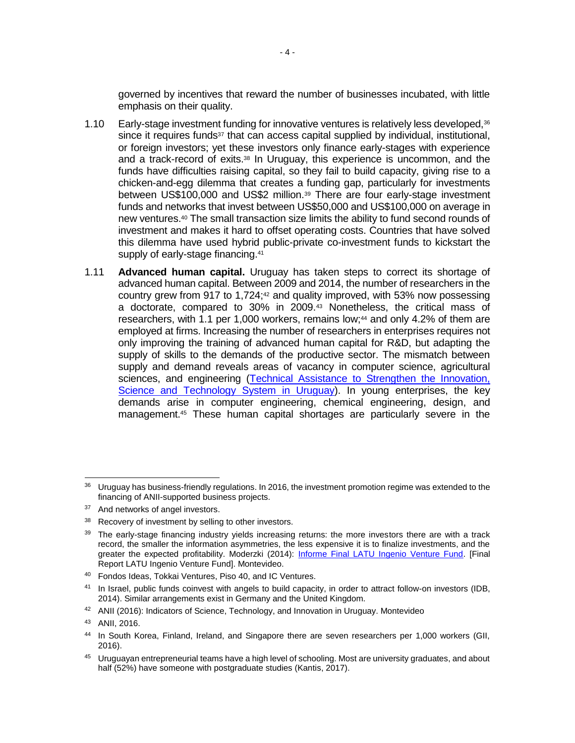governed by incentives that reward the number of businesses incubated, with little emphasis on their quality.

- 1.10 Early-stage investment funding for innovative ventures is relatively less developed,<sup>36</sup> since it requires funds<sup>37</sup> that can access capital supplied by individual, institutional, or foreign investors; yet these investors only finance early-stages with experience and a track-record of exits.<sup>38</sup> In Uruguay, this experience is uncommon, and the funds have difficulties raising capital, so they fail to build capacity, giving rise to a chicken-and-egg dilemma that creates a funding gap, particularly for investments between US\$100,000 and US\$2 million.<sup>39</sup> There are four early-stage investment funds and networks that invest between US\$50,000 and US\$100,000 on average in new ventures. <sup>40</sup> The small transaction size limits the ability to fund second rounds of investment and makes it hard to offset operating costs. Countries that have solved this dilemma have used hybrid public-private co-investment funds to kickstart the supply of early-stage financing.<sup>41</sup>
- 1.11 **Advanced human capital.** Uruguay has taken steps to correct its shortage of advanced human capital. Between 2009 and 2014, the number of researchers in the country grew from 917 to 1,724;<sup>42</sup> and quality improved, with 53% now possessing a doctorate, compared to 30% in 2009.<sup>43</sup> Nonetheless, the critical mass of researchers, with 1.1 per 1,000 workers, remains low;<sup>44</sup> and only 4.2% of them are employed at firms. Increasing the number of researchers in enterprises requires not only improving the training of advanced human capital for R&D, but adapting the supply of skills to the demands of the productive sector. The mismatch between supply and demand reveals areas of vacancy in computer science, agricultural sciences, and engineering (Technical Assistance to Strengthen the Innovation, [Science and Technology System in Uruguay\)](https://idbg.sharepoint.com/teams/EZ-UR-LON/UR-L1142/_layouts/15/DocIdRedir.aspx?ID=EZSHARE-2085936762-18). In young enterprises, the key demands arise in computer engineering, chemical engineering, design, and management.<sup>45</sup> These human capital shortages are particularly severe in the

 $\overline{a}$ 

<sup>36</sup> Uruguay has business-friendly regulations. In 2016, the investment promotion regime was extended to the financing of ANII-supported business projects.

<sup>&</sup>lt;sup>37</sup> And networks of angel investors.

<sup>38</sup> Recovery of investment by selling to other investors.

<sup>&</sup>lt;sup>39</sup> The early-stage financing industry yields increasing returns: the more investors there are with a track record, the smaller the information asymmetries, the less expensive it is to finalize investments, and the greater the expected profitability. Moderzki (2014): [Informe Final LATU Ingenio Venture Fund.](https://idbg.sharepoint.com/teams/EZ-UR-LON/UR-L1142/_layouts/15/DocIdRedir.aspx?ID=EZSHARE-905749749-13) [Final Report LATU Ingenio Venture Fund]. Montevideo.

<sup>40</sup> Fondos Ideas, Tokkai Ventures, Piso 40, and IC Ventures.

<sup>41</sup> In Israel, public funds coinvest with angels to build capacity, in order to attract follow-on investors (IDB, 2014). Similar arrangements exist in Germany and the United Kingdom.

<sup>42</sup> ANII (2016): Indicators of Science, Technology, and Innovation in Uruguay. Montevideo

<sup>43</sup> ANII, 2016.

<sup>44</sup> In South Korea, Finland, Ireland, and Singapore there are seven researchers per 1,000 workers (GII, 2016).

<sup>&</sup>lt;sup>45</sup> Uruguayan entrepreneurial teams have a high level of schooling. Most are university graduates, and about half (52%) have someone with postgraduate studies (Kantis, 2017).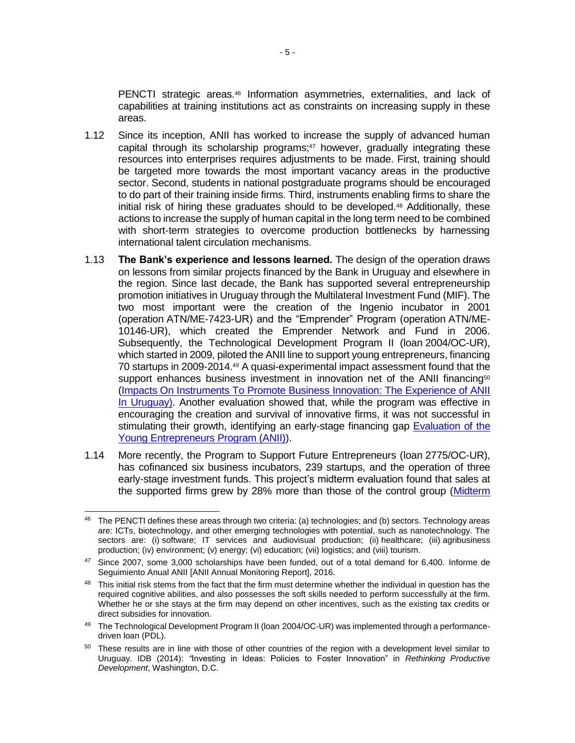PENCTI strategic areas.<sup>46</sup> Information asymmetries, externalities, and lack of capabilities at training institutions act as constraints on increasing supply in these areas.

- 1.12 Since its inception, ANII has worked to increase the supply of advanced human capital through its scholarship programs; $47$  however, gradually integrating these resources into enterprises requires adjustments to be made. First, training should be targeted more towards the most important vacancy areas in the productive sector. Second, students in national postgraduate programs should be encouraged to do part of their training inside firms. Third, instruments enabling firms to share the initial risk of hiring these graduates should to be developed.<sup>48</sup> Additionally, these actions to increase the supply of human capital in the long term need to be combined with short-term strategies to overcome production bottlenecks by harnessing international talent circulation mechanisms.
- 1.13 **The Bank's experience and lessons learned.** The design of the operation draws on lessons from similar projects financed by the Bank in Uruguay and elsewhere in the region. Since last decade, the Bank has supported several entrepreneurship promotion initiatives in Uruguay through the Multilateral Investment Fund (MIF). The two most important were the creation of the Ingenio incubator in 2001 (operation ATN/ME-7423-UR) and the "Emprender" Program (operation ATN/ME-10146-UR), which created the Emprender Network and Fund in 2006. Subsequently, the Technological Development Program II (loan 2004/OC-UR), which started in 2009, piloted the ANII line to support young entrepreneurs, financing 70 startups in 2009-2014.<sup>49</sup> A quasi-experimental impact assessment found that the support enhances business investment in innovation net of the ANII financing<sup>50</sup> [\(Impacts On Instruments To Promote Business Innovation: The Experience of ANII](https://idbg.sharepoint.com/teams/EZ-UR-LON/UR-L1142/_layouts/15/DocIdRedir.aspx?ID=EZSHARE-2085936762-21)  [In Uruguay\)](https://idbg.sharepoint.com/teams/EZ-UR-LON/UR-L1142/_layouts/15/DocIdRedir.aspx?ID=EZSHARE-2085936762-21). Another evaluation showed that, while the program was effective in encouraging the creation and survival of innovative firms, it was not successful in stimulating their growth, identifying an early-stage financing gap [Evaluation of the](https://idbg.sharepoint.com/teams/EZ-UR-LON/UR-L1142/_layouts/15/DocIdRedir.aspx?ID=EZSHARE-2085936762-22)  [Young Entrepreneurs Program \(ANII\)\)](https://idbg.sharepoint.com/teams/EZ-UR-LON/UR-L1142/_layouts/15/DocIdRedir.aspx?ID=EZSHARE-2085936762-22).
- 1.14 More recently, the Program to Support Future Entrepreneurs (loan 2775/OC-UR), has cofinanced six business incubators, 239 startups, and the operation of three early-stage investment funds. This project's midterm evaluation found that sales at the supported firms grew by 28% more than those of the control group [\(Midterm](https://idbg.sharepoint.com/teams/EZ-UR-LON/UR-L1142/_layouts/15/DocIdRedir.aspx?ID=EZSHARE-2085936762-23)

 <sup>46</sup> The PENCTI defines these areas through two criteria: (a) technologies; and (b) sectors. Technology areas are: ICTs, biotechnology, and other emerging technologies with potential, such as nanotechnology. The sectors are: (i) software; IT services and audiovisual production; (ii) healthcare; (iii) agribusiness production; (iv) environment; (v) energy; (vi) education; (vii) logistics; and (viii) tourism.

<sup>47</sup> Since 2007, some 3,000 scholarships have been funded, out of a total demand for 6,400. Informe de Seguimiento Anual ANII [ANII Annual Monitoring Report], 2016.

<sup>&</sup>lt;sup>48</sup> This initial risk stems from the fact that the firm must determine whether the individual in question has the required cognitive abilities, and also possesses the soft skills needed to perform successfully at the firm. Whether he or she stays at the firm may depend on other incentives, such as the existing tax credits or direct subsidies for innovation.

<sup>49</sup> The Technological Development Program II (Ioan 2004/OC-UR) was implemented through a performancedriven loan (PDL).

<sup>&</sup>lt;sup>50</sup> These results are in line with those of other countries of the region with a development level similar to Uruguay. IDB (2014): *"*Investing in Ideas: Policies to Foster Innovation" in *Rethinking Productive Development*, Washington, D.C.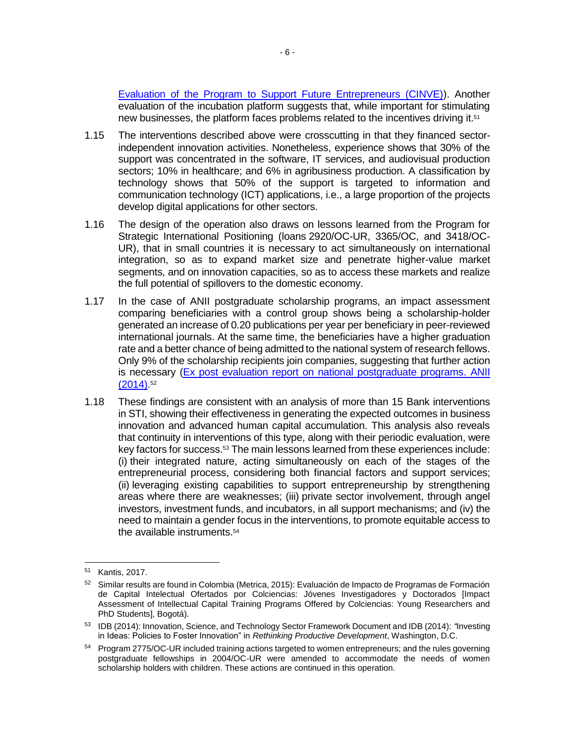[Evaluation of the Program to Support Future Entrepreneurs \(CINVE\)\)](https://idbg.sharepoint.com/teams/EZ-UR-LON/UR-L1142/_layouts/15/DocIdRedir.aspx?ID=EZSHARE-2085936762-23). Another evaluation of the incubation platform suggests that, while important for stimulating new businesses, the platform faces problems related to the incentives driving it.<sup>51</sup>

- 1.15 The interventions described above were crosscutting in that they financed sectorindependent innovation activities. Nonetheless, experience shows that 30% of the support was concentrated in the software, IT services, and audiovisual production sectors; 10% in healthcare; and 6% in agribusiness production. A classification by technology shows that 50% of the support is targeted to information and communication technology (ICT) applications, i.e., a large proportion of the projects develop digital applications for other sectors.
- 1.16 The design of the operation also draws on lessons learned from the Program for Strategic International Positioning (loans 2920/OC-UR, 3365/OC, and 3418/OC-UR), that in small countries it is necessary to act simultaneously on international integration, so as to expand market size and penetrate higher-value market segments, and on innovation capacities, so as to access these markets and realize the full potential of spillovers to the domestic economy.
- 1.17 In the case of ANII postgraduate scholarship programs, an impact assessment comparing beneficiaries with a control group shows being a scholarship-holder generated an increase of 0.20 publications per year per beneficiary in peer-reviewed international journals. At the same time, the beneficiaries have a higher graduation rate and a better chance of being admitted to the national system of research fellows. Only 9% of the scholarship recipients join companies, suggesting that further action is necessary [\(Ex post evaluation report on national postgraduate programs.](https://idbg.sharepoint.com/teams/EZ-UR-LON/UR-L1142/_layouts/15/DocIdRedir.aspx?ID=EZSHARE-905749749-14) ANII [\(2014\).](https://idbg.sharepoint.com/teams/EZ-UR-LON/UR-L1142/_layouts/15/DocIdRedir.aspx?ID=EZSHARE-905749749-14) 52
- 1.18 These findings are consistent with an analysis of more than 15 Bank interventions in STI, showing their effectiveness in generating the expected outcomes in business innovation and advanced human capital accumulation. This analysis also reveals that continuity in interventions of this type, along with their periodic evaluation, were key factors for success.<sup>53</sup> The main lessons learned from these experiences include: (i) their integrated nature, acting simultaneously on each of the stages of the entrepreneurial process, considering both financial factors and support services; (ii) leveraging existing capabilities to support entrepreneurship by strengthening areas where there are weaknesses; (iii) private sector involvement, through angel investors, investment funds, and incubators, in all support mechanisms; and (iv) the need to maintain a gender focus in the interventions, to promote equitable access to the available instruments.<sup>54</sup>

 <sup>51</sup> Kantis, 2017.

<sup>52</sup> Similar results are found in Colombia (Metrica, 2015): Evaluación de Impacto de Programas de Formación de Capital Intelectual Ofertados por Colciencias: Jóvenes Investigadores y Doctorados [Impact Assessment of Intellectual Capital Training Programs Offered by Colciencias: Young Researchers and PhD Students], Bogotá).

<sup>53</sup> IDB (2014): Innovation, Science, and Technology Sector Framework Document and IDB (2014): *"*Investing in Ideas: Policies to Foster Innovation" in *Rethinking Productive Development*, Washington, D.C.

<sup>&</sup>lt;sup>54</sup> Program 2775/OC-UR included training actions targeted to women entrepreneurs; and the rules governing postgraduate fellowships in 2004/OC-UR were amended to accommodate the needs of women scholarship holders with children. These actions are continued in this operation.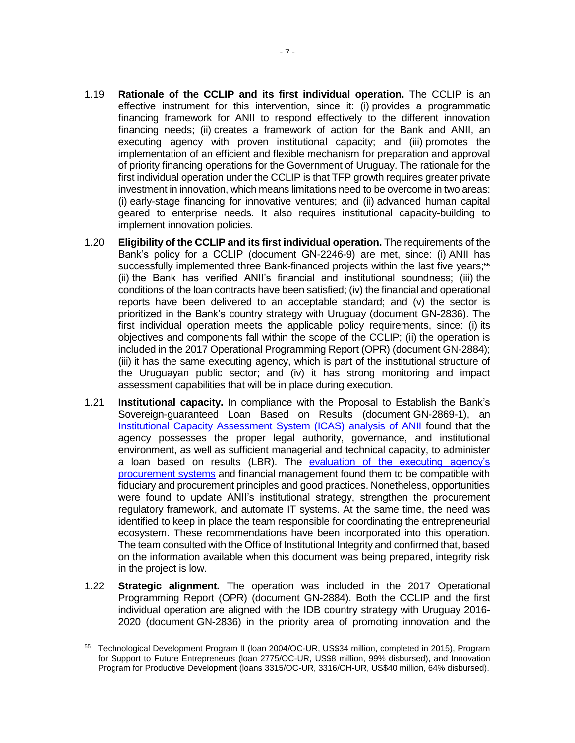- 1.19 **Rationale of the CCLIP and its first individual operation.** The CCLIP is an effective instrument for this intervention, since it: (i) provides a programmatic financing framework for ANII to respond effectively to the different innovation financing needs; (ii) creates a framework of action for the Bank and ANII, an executing agency with proven institutional capacity; and (iii) promotes the implementation of an efficient and flexible mechanism for preparation and approval of priority financing operations for the Government of Uruguay. The rationale for the first individual operation under the CCLIP is that TFP growth requires greater private investment in innovation, which means limitations need to be overcome in two areas: (i) early-stage financing for innovative ventures; and (ii) advanced human capital geared to enterprise needs. It also requires institutional capacity-building to implement innovation policies.
- 1.20 **Eligibility of the CCLIP and its first individual operation.** The requirements of the Bank's policy for a CCLIP (document GN-2246-9) are met, since: (i) ANII has successfully implemented three Bank-financed projects within the last five years;<sup>55</sup> (ii) the Bank has verified ANII's financial and institutional soundness; (iii) the conditions of the loan contracts have been satisfied; (iv) the financial and operational reports have been delivered to an acceptable standard; and (v) the sector is prioritized in the Bank's country strategy with Uruguay (document GN-2836). The first individual operation meets the applicable policy requirements, since: (i) its objectives and components fall within the scope of the CCLIP; (ii) the operation is included in the 2017 Operational Programming Report (OPR) (document GN-2884); (iii) it has the same executing agency, which is part of the institutional structure of the Uruguayan public sector; and (iv) it has strong monitoring and impact assessment capabilities that will be in place during execution.
- 1.21 **Institutional capacity.** In compliance with the Proposal to Establish the Bank's Sovereign-guaranteed Loan Based on Results (document GN-2869-1), an [Institutional Capacity Assessment System \(ICAS\) analysis of ANII](https://idbg.sharepoint.com/teams/EZ-UR-LON/UR-L1142/_layouts/15/DocIdRedir.aspx?ID=EZSHARE-2085936762-17) found that the agency possesses the proper legal authority, governance, and institutional environment, as well as sufficient managerial and technical capacity, to administer a loan based on results (LBR). The [evaluation of](https://idbg.sharepoint.com/teams/EZ-UR-LON/UR-L1142/_layouts/15/DocIdRedir.aspx?ID=EZSHARE-905749749-31) the executing agency's procurement systems and financial management found them to be compatible with fiduciary and procurement principles and good practices. Nonetheless, opportunities were found to update ANII's institutional strategy, strengthen the procurement regulatory framework, and automate IT systems. At the same time, the need was identified to keep in place the team responsible for coordinating the entrepreneurial ecosystem. These recommendations have been incorporated into this operation. The team consulted with the Office of Institutional Integrity and confirmed that, based on the information available when this document was being prepared, integrity risk in the project is low.
- 1.22 **Strategic alignment.** The operation was included in the 2017 Operational Programming Report (OPR) (document GN-2884). Both the CCLIP and the first individual operation are aligned with the IDB country strategy with Uruguay 2016- 2020 (document GN-2836) in the priority area of promoting innovation and the

 <sup>55</sup> Technological Development Program II (loan 2004/OC-UR, US\$34 million, completed in 2015), Program for Support to Future Entrepreneurs (loan 2775/OC-UR, US\$8 million, 99% disbursed), and Innovation Program for Productive Development (loans 3315/OC-UR, 3316/CH-UR, US\$40 million, 64% disbursed).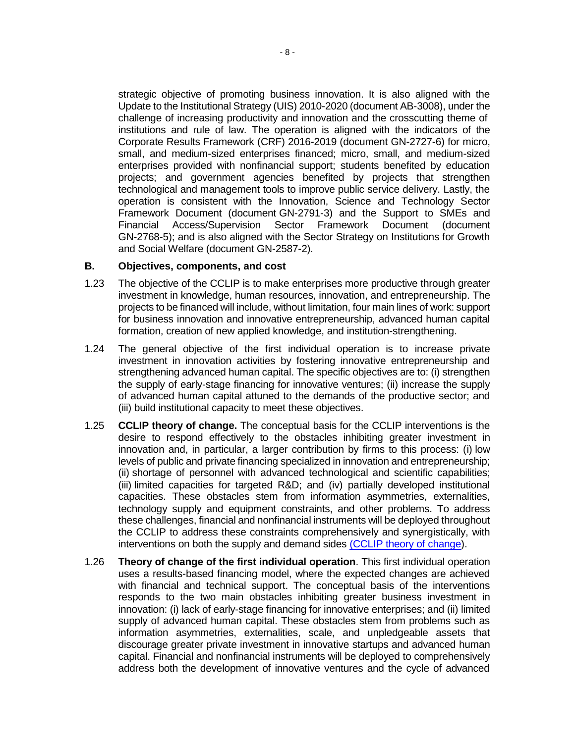strategic objective of promoting business innovation. It is also aligned with the Update to the Institutional Strategy (UIS) 2010-2020 (document AB-3008), under the challenge of increasing productivity and innovation and the crosscutting theme of institutions and rule of law. The operation is aligned with the indicators of the Corporate Results Framework (CRF) 2016-2019 (document GN-2727-6) for micro, small, and medium-sized enterprises financed; micro, small, and medium-sized enterprises provided with nonfinancial support; students benefited by education projects; and government agencies benefited by projects that strengthen technological and management tools to improve public service delivery. Lastly, the operation is consistent with the Innovation, Science and Technology Sector Framework Document (document GN-2791-3) and the Support to SMEs and Financial Access/Supervision Sector Framework Document (document GN-2768-5); and is also aligned with the Sector Strategy on Institutions for Growth and Social Welfare (document GN-2587-2).

#### **B. Objectives, components, and cost**

- 1.23 The objective of the CCLIP is to make enterprises more productive through greater investment in knowledge, human resources, innovation, and entrepreneurship. The projects to be financed will include, without limitation, four main lines of work: support for business innovation and innovative entrepreneurship, advanced human capital formation, creation of new applied knowledge, and institution-strengthening.
- 1.24 The general objective of the first individual operation is to increase private investment in innovation activities by fostering innovative entrepreneurship and strengthening advanced human capital. The specific objectives are to: (i) strengthen the supply of early-stage financing for innovative ventures; (ii) increase the supply of advanced human capital attuned to the demands of the productive sector; and (iii) build institutional capacity to meet these objectives.
- 1.25 **CCLIP theory of change.** The conceptual basis for the CCLIP interventions is the desire to respond effectively to the obstacles inhibiting greater investment in innovation and, in particular, a larger contribution by firms to this process: (i) low levels of public and private financing specialized in innovation and entrepreneurship; (ii) shortage of personnel with advanced technological and scientific capabilities; (iii) limited capacities for targeted R&D; and (iv) partially developed institutional capacities. These obstacles stem from information asymmetries, externalities, technology supply and equipment constraints, and other problems. To address these challenges, financial and nonfinancial instruments will be deployed throughout the CCLIP to address these constraints comprehensively and synergistically, with interventions on both the supply and demand sides [\(CCLIP theory of change\)](https://idbg.sharepoint.com/teams/EZ-UR-LON/UR-L1142/_layouts/15/DocIdRedir.aspx?ID=EZSHARE-905749749-9).
- 1.26 **Theory of change of the first individual operation**. This first individual operation uses a results-based financing model, where the expected changes are achieved with financial and technical support. The conceptual basis of the interventions responds to the two main obstacles inhibiting greater business investment in innovation: (i) lack of early-stage financing for innovative enterprises; and (ii) limited supply of advanced human capital. These obstacles stem from problems such as information asymmetries, externalities, scale, and unpledgeable assets that discourage greater private investment in innovative startups and advanced human capital. Financial and nonfinancial instruments will be deployed to comprehensively address both the development of innovative ventures and the cycle of advanced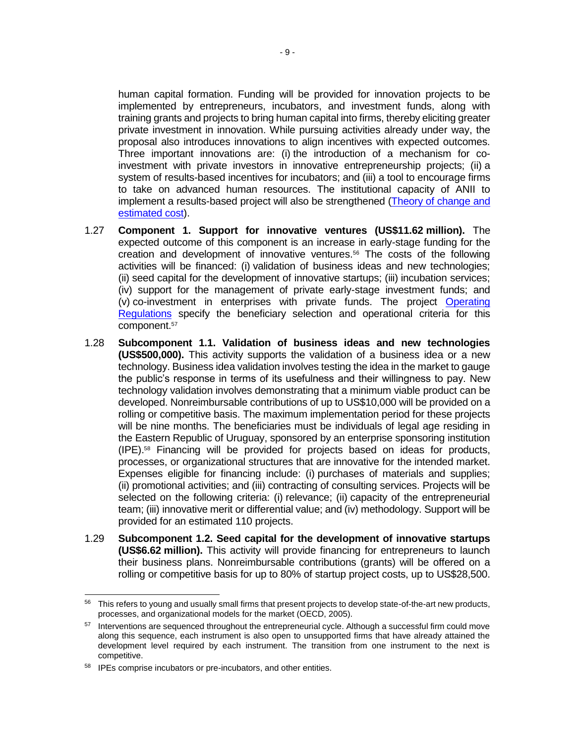human capital formation. Funding will be provided for innovation projects to be implemented by entrepreneurs, incubators, and investment funds, along with training grants and projects to bring human capital into firms, thereby eliciting greater private investment in innovation. While pursuing activities already under way, the proposal also introduces innovations to align incentives with expected outcomes. Three important innovations are: (i) the introduction of a mechanism for coinvestment with private investors in innovative entrepreneurship projects; (ii) a system of results-based incentives for incubators; and (iii) a tool to encourage firms to take on advanced human resources. The institutional capacity of ANII to implement a results-based project will also be strengthened (Theory of change and [estimated cost\)](https://idbg.sharepoint.com/teams/EZ-UR-LON/UR-L1142/_layouts/15/DocIdRedir.aspx?ID=EZSHARE-905749749-64).

- 1.27 **Component 1. Support for innovative ventures (US\$11.62 million).** The expected outcome of this component is an increase in early-stage funding for the creation and development of innovative ventures.<sup>56</sup> The costs of the following activities will be financed: (i) validation of business ideas and new technologies; (ii) seed capital for the development of innovative startups; (iii) incubation services; (iv) support for the management of private early-stage investment funds; and (v) co-investment in enterprises with private funds. The project [Operating](https://idbg.sharepoint.com/teams/EZ-UR-LON/UR-L1142/_layouts/15/DocIdRedir.aspx?ID=EZSHARE-905749749-51)  [Regulations](https://idbg.sharepoint.com/teams/EZ-UR-LON/UR-L1142/_layouts/15/DocIdRedir.aspx?ID=EZSHARE-905749749-51) specify the beneficiary selection and operational criteria for this component.<sup>57</sup>
- 1.28 **Subcomponent 1.1. Validation of business ideas and new technologies (US\$500,000).** This activity supports the validation of a business idea or a new technology. Business idea validation involves testing the idea in the market to gauge the public's response in terms of its usefulness and their willingness to pay. New technology validation involves demonstrating that a minimum viable product can be developed. Nonreimbursable contributions of up to US\$10,000 will be provided on a rolling or competitive basis. The maximum implementation period for these projects will be nine months. The beneficiaries must be individuals of legal age residing in the Eastern Republic of Uruguay, sponsored by an enterprise sponsoring institution (IPE).<sup>58</sup> Financing will be provided for projects based on ideas for products, processes, or organizational structures that are innovative for the intended market. Expenses eligible for financing include: (i) purchases of materials and supplies; (ii) promotional activities; and (iii) contracting of consulting services. Projects will be selected on the following criteria: (i) relevance; (ii) capacity of the entrepreneurial team; (iii) innovative merit or differential value; and (iv) methodology. Support will be provided for an estimated 110 projects.
- 1.29 **Subcomponent 1.2. Seed capital for the development of innovative startups (US\$6.62 million).** This activity will provide financing for entrepreneurs to launch their business plans. Nonreimbursable contributions (grants) will be offered on a rolling or competitive basis for up to 80% of startup project costs, up to US\$28,500.

<sup>56</sup> This refers to young and usually small firms that present projects to develop state-of-the-art new products, processes, and organizational models for the market (OECD, 2005).

<sup>&</sup>lt;sup>57</sup> Interventions are sequenced throughout the entrepreneurial cycle. Although a successful firm could move along this sequence, each instrument is also open to unsupported firms that have already attained the development level required by each instrument. The transition from one instrument to the next is competitive.

<sup>58</sup> IPEs comprise incubators or pre-incubators, and other entities.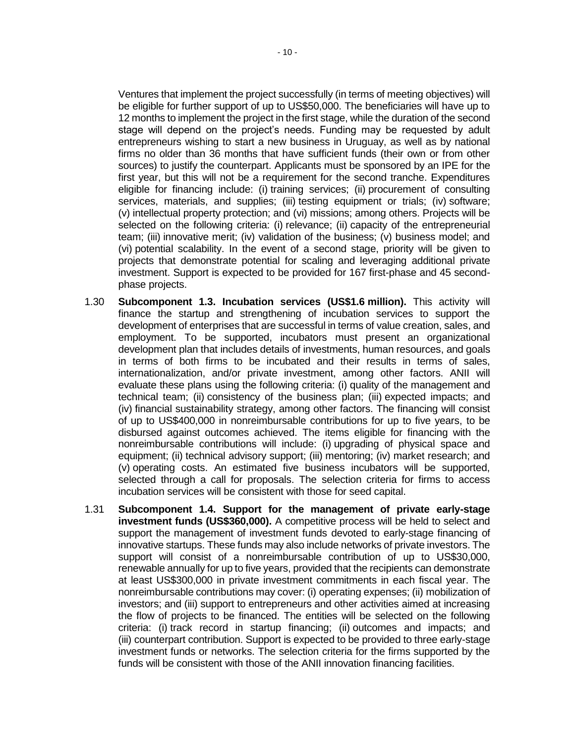Ventures that implement the project successfully (in terms of meeting objectives) will be eligible for further support of up to US\$50,000. The beneficiaries will have up to 12 months to implement the project in the first stage, while the duration of the second stage will depend on the project's needs. Funding may be requested by adult entrepreneurs wishing to start a new business in Uruguay, as well as by national firms no older than 36 months that have sufficient funds (their own or from other sources) to justify the counterpart. Applicants must be sponsored by an IPE for the first year, but this will not be a requirement for the second tranche. Expenditures eligible for financing include: (i) training services; (ii) procurement of consulting services, materials, and supplies; (iii) testing equipment or trials; (iv) software; (v) intellectual property protection; and (vi) missions; among others. Projects will be selected on the following criteria: (i) relevance; (ii) capacity of the entrepreneurial team; (iii) innovative merit; (iv) validation of the business; (v) business model; and (vi) potential scalability. In the event of a second stage, priority will be given to projects that demonstrate potential for scaling and leveraging additional private investment. Support is expected to be provided for 167 first-phase and 45 secondphase projects.

- 1.30 **Subcomponent 1.3. Incubation services (US\$1.6 million).** This activity will finance the startup and strengthening of incubation services to support the development of enterprises that are successful in terms of value creation, sales, and employment. To be supported, incubators must present an organizational development plan that includes details of investments, human resources, and goals in terms of both firms to be incubated and their results in terms of sales, internationalization, and/or private investment, among other factors. ANII will evaluate these plans using the following criteria: (i) quality of the management and technical team; (ii) consistency of the business plan; (iii) expected impacts; and (iv) financial sustainability strategy, among other factors. The financing will consist of up to US\$400,000 in nonreimbursable contributions for up to five years, to be disbursed against outcomes achieved. The items eligible for financing with the nonreimbursable contributions will include: (i) upgrading of physical space and equipment; (ii) technical advisory support; (iii) mentoring; (iv) market research; and (v) operating costs. An estimated five business incubators will be supported, selected through a call for proposals. The selection criteria for firms to access incubation services will be consistent with those for seed capital.
- 1.31 **Subcomponent 1.4. Support for the management of private early-stage investment funds (US\$360,000).** A competitive process will be held to select and support the management of investment funds devoted to early-stage financing of innovative startups. These funds may also include networks of private investors. The support will consist of a nonreimbursable contribution of up to US\$30,000, renewable annually for up to five years, provided that the recipients can demonstrate at least US\$300,000 in private investment commitments in each fiscal year. The nonreimbursable contributions may cover: (i) operating expenses; (ii) mobilization of investors; and (iii) support to entrepreneurs and other activities aimed at increasing the flow of projects to be financed. The entities will be selected on the following criteria: (i) track record in startup financing; (ii) outcomes and impacts; and (iii) counterpart contribution. Support is expected to be provided to three early-stage investment funds or networks. The selection criteria for the firms supported by the funds will be consistent with those of the ANII innovation financing facilities.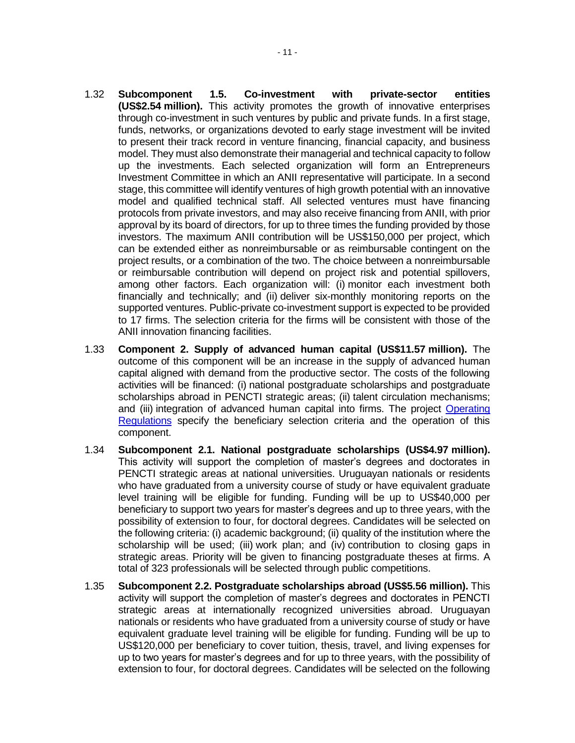- 1.32 **Subcomponent 1.5. Co-investment with private-sector entities (US\$2.54 million).** This activity promotes the growth of innovative enterprises through co-investment in such ventures by public and private funds. In a first stage, funds, networks, or organizations devoted to early stage investment will be invited to present their track record in venture financing, financial capacity, and business model. They must also demonstrate their managerial and technical capacity to follow up the investments. Each selected organization will form an Entrepreneurs Investment Committee in which an ANII representative will participate. In a second stage, this committee will identify ventures of high growth potential with an innovative model and qualified technical staff. All selected ventures must have financing protocols from private investors, and may also receive financing from ANII, with prior approval by its board of directors, for up to three times the funding provided by those investors. The maximum ANII contribution will be US\$150,000 per project, which can be extended either as nonreimbursable or as reimbursable contingent on the project results, or a combination of the two. The choice between a nonreimbursable or reimbursable contribution will depend on project risk and potential spillovers, among other factors. Each organization will: (i) monitor each investment both financially and technically; and (ii) deliver six-monthly monitoring reports on the supported ventures. Public-private co-investment support is expected to be provided to 17 firms. The selection criteria for the firms will be consistent with those of the ANII innovation financing facilities.
- 1.33 **Component 2. Supply of advanced human capital (US\$11.57 million).** The outcome of this component will be an increase in the supply of advanced human capital aligned with demand from the productive sector. The costs of the following activities will be financed: (i) national postgraduate scholarships and postgraduate scholarships abroad in PENCTI strategic areas; (ii) talent circulation mechanisms; and (iii) integration of advanced human capital into firms. The project [Operating](https://idbg.sharepoint.com/teams/EZ-UR-LON/UR-L1142/_layouts/15/DocIdRedir.aspx?ID=EZSHARE-905749749-51)  [Regulations](https://idbg.sharepoint.com/teams/EZ-UR-LON/UR-L1142/_layouts/15/DocIdRedir.aspx?ID=EZSHARE-905749749-51) specify the beneficiary selection criteria and the operation of this component.
- 1.34 **Subcomponent 2.1. National postgraduate scholarships (US\$4.97 million).** This activity will support the completion of master's degrees and doctorates in PENCTI strategic areas at national universities. Uruguayan nationals or residents who have graduated from a university course of study or have equivalent graduate level training will be eligible for funding. Funding will be up to US\$40,000 per beneficiary to support two years for master's degrees and up to three years, with the possibility of extension to four, for doctoral degrees. Candidates will be selected on the following criteria: (i) academic background; (ii) quality of the institution where the scholarship will be used; (iii) work plan; and (iv) contribution to closing gaps in strategic areas. Priority will be given to financing postgraduate theses at firms. A total of 323 professionals will be selected through public competitions.
- 1.35 **Subcomponent 2.2. Postgraduate scholarships abroad (US\$5.56 million).** This activity will support the completion of master's degrees and doctorates in PENCTI strategic areas at internationally recognized universities abroad. Uruguayan nationals or residents who have graduated from a university course of study or have equivalent graduate level training will be eligible for funding. Funding will be up to US\$120,000 per beneficiary to cover tuition, thesis, travel, and living expenses for up to two years for master's degrees and for up to three years, with the possibility of extension to four, for doctoral degrees. Candidates will be selected on the following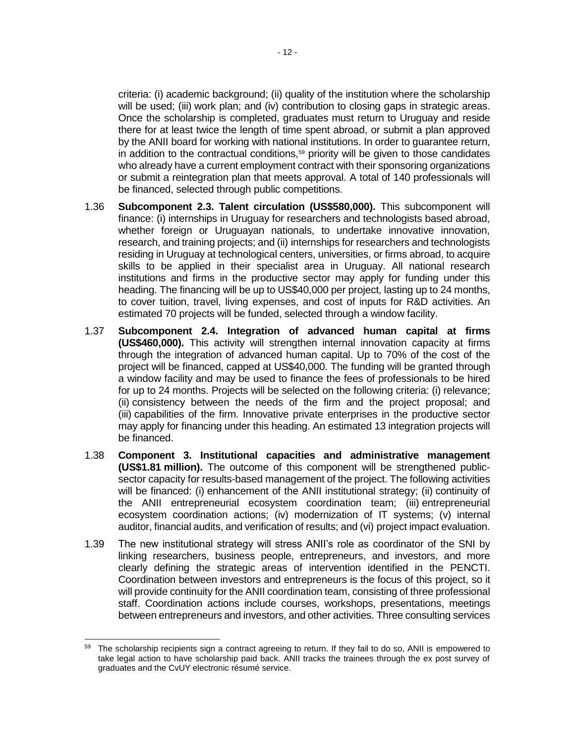criteria: (i) academic background; (ii) quality of the institution where the scholarship will be used; (iii) work plan; and (iv) contribution to closing gaps in strategic areas. Once the scholarship is completed, graduates must return to Uruguay and reside there for at least twice the length of time spent abroad, or submit a plan approved by the ANII board for working with national institutions. In order to guarantee return, in addition to the contractual conditions,<sup>59</sup> priority will be given to those candidates who already have a current employment contract with their sponsoring organizations or submit a reintegration plan that meets approval. A total of 140 professionals will be financed, selected through public competitions.

- 1.36 **Subcomponent 2.3. Talent circulation (US\$580,000).** This subcomponent will finance: (i) internships in Uruguay for researchers and technologists based abroad, whether foreign or Uruguayan nationals, to undertake innovative innovation, research, and training projects; and (ii) internships for researchers and technologists residing in Uruguay at technological centers, universities, or firms abroad, to acquire skills to be applied in their specialist area in Uruguay. All national research institutions and firms in the productive sector may apply for funding under this heading. The financing will be up to US\$40,000 per project, lasting up to 24 months, to cover tuition, travel, living expenses, and cost of inputs for R&D activities. An estimated 70 projects will be funded, selected through a window facility.
- 1.37 **Subcomponent 2.4. Integration of advanced human capital at firms (US\$460,000).** This activity will strengthen internal innovation capacity at firms through the integration of advanced human capital. Up to 70% of the cost of the project will be financed, capped at US\$40,000. The funding will be granted through a window facility and may be used to finance the fees of professionals to be hired for up to 24 months. Projects will be selected on the following criteria: (i) relevance; (ii) consistency between the needs of the firm and the project proposal; and (iii) capabilities of the firm. Innovative private enterprises in the productive sector may apply for financing under this heading. An estimated 13 integration projects will be financed.
- 1.38 **Component 3. Institutional capacities and administrative management (US\$1.81 million).** The outcome of this component will be strengthened publicsector capacity for results-based management of the project. The following activities will be financed: (i) enhancement of the ANII institutional strategy; (ii) continuity of the ANII entrepreneurial ecosystem coordination team; (iii) entrepreneurial ecosystem coordination actions; (iv) modernization of IT systems; (v) internal auditor, financial audits, and verification of results; and (vi) project impact evaluation.
- 1.39 The new institutional strategy will stress ANII's role as coordinator of the SNI by linking researchers, business people, entrepreneurs, and investors, and more clearly defining the strategic areas of intervention identified in the PENCTI. Coordination between investors and entrepreneurs is the focus of this project, so it will provide continuity for the ANII coordination team, consisting of three professional staff. Coordination actions include courses, workshops, presentations, meetings between entrepreneurs and investors, and other activities. Three consulting services

 <sup>59</sup> The scholarship recipients sign a contract agreeing to return. If they fail to do so, ANII is empowered to take legal action to have scholarship paid back. ANII tracks the trainees through the ex post survey of graduates and the CvUY electronic résumé service.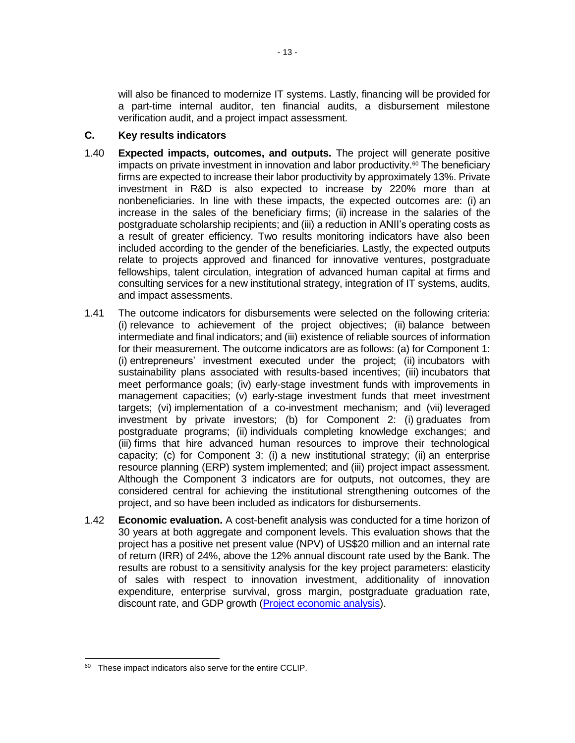will also be financed to modernize IT systems. Lastly, financing will be provided for a part-time internal auditor, ten financial audits, a disbursement milestone verification audit, and a project impact assessment.

### **C. Key results indicators**

- 1.40 **Expected impacts, outcomes, and outputs.** The project will generate positive impacts on private investment in innovation and labor productivity.<sup>60</sup> The beneficiary firms are expected to increase their labor productivity by approximately 13%. Private investment in R&D is also expected to increase by 220% more than at nonbeneficiaries. In line with these impacts, the expected outcomes are: (i) an increase in the sales of the beneficiary firms; (ii) increase in the salaries of the postgraduate scholarship recipients; and (iii) a reduction in ANII's operating costs as a result of greater efficiency. Two results monitoring indicators have also been included according to the gender of the beneficiaries. Lastly, the expected outputs relate to projects approved and financed for innovative ventures, postgraduate fellowships, talent circulation, integration of advanced human capital at firms and consulting services for a new institutional strategy, integration of IT systems, audits, and impact assessments.
- 1.41 The outcome indicators for disbursements were selected on the following criteria: (i) relevance to achievement of the project objectives; (ii) balance between intermediate and final indicators; and (iii) existence of reliable sources of information for their measurement. The outcome indicators are as follows: (a) for Component 1: (i) entrepreneurs' investment executed under the project; (ii) incubators with sustainability plans associated with results-based incentives; (iii) incubators that meet performance goals; (iv) early-stage investment funds with improvements in management capacities; (v) early-stage investment funds that meet investment targets; (vi) implementation of a co-investment mechanism; and (vii) leveraged investment by private investors; (b) for Component 2: (i) graduates from postgraduate programs; (ii) individuals completing knowledge exchanges; and (iii) firms that hire advanced human resources to improve their technological capacity; (c) for Component 3: (i) a new institutional strategy; (ii) an enterprise resource planning (ERP) system implemented; and (iii) project impact assessment. Although the Component 3 indicators are for outputs, not outcomes, they are considered central for achieving the institutional strengthening outcomes of the project, and so have been included as indicators for disbursements.
- 1.42 **Economic evaluation.** A cost-benefit analysis was conducted for a time horizon of 30 years at both aggregate and component levels. This evaluation shows that the project has a positive net present value (NPV) of US\$20 million and an internal rate of return (IRR) of 24%, above the 12% annual discount rate used by the Bank. The results are robust to a sensitivity analysis for the key project parameters: elasticity of sales with respect to innovation investment, additionality of innovation expenditure, enterprise survival, gross margin, postgraduate graduation rate, discount rate, and GDP growth [\(Project economic analysis\)](https://idbg.sharepoint.com/teams/EZ-UR-LON/UR-L1142/_layouts/15/DocIdRedir.aspx?ID=EZSHARE-905749749-61).

 <sup>60</sup> These impact indicators also serve for the entire CCLIP.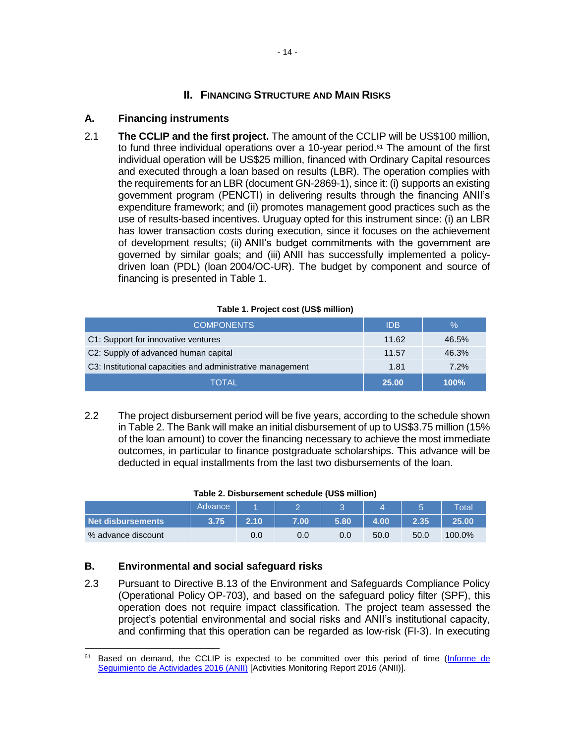### **II. FINANCING STRUCTURE AND MAIN RISKS**

### **A. Financing instruments**

2.1 **The CCLIP and the first project.** The amount of the CCLIP will be US\$100 million, to fund three individual operations over a 10-year period.<sup>61</sup> The amount of the first individual operation will be US\$25 million, financed with Ordinary Capital resources and executed through a loan based on results (LBR). The operation complies with the requirements for an LBR (document GN-2869-1), since it: (i) supports an existing government program (PENCTI) in delivering results through the financing ANII's expenditure framework; and (ii) promotes management good practices such as the use of results-based incentives. Uruguay opted for this instrument since: (i) an LBR has lower transaction costs during execution, since it focuses on the achievement of development results; (ii) ANII's budget commitments with the government are governed by similar goals; and (iii) ANII has successfully implemented a policydriven loan (PDL) (loan 2004/OC-UR). The budget by component and source of financing is presented in Table 1.

#### **Table 1. Project cost (US\$ million)**

| <b>COMPONENTS</b>                                          | <b>IDB</b> | $\%$        |
|------------------------------------------------------------|------------|-------------|
| C1: Support for innovative ventures                        | 11.62      | 46.5%       |
| C2: Supply of advanced human capital                       | 11.57      | 46.3%       |
| C3: Institutional capacities and administrative management | 1.81       | 7.2%        |
| TOTAL                                                      | 25.00      | <b>100%</b> |

2.2 The project disbursement period will be five years, according to the schedule shown in Table 2. The Bank will make an initial disbursement of up to US\$3.75 million (15% of the loan amount) to cover the financing necessary to achieve the most immediate outcomes, in particular to finance postgraduate scholarships. This advance will be deducted in equal installments from the last two disbursements of the loan.

#### **Table 2. Disbursement schedule (US\$ million)**

|                    | Advance |      |      |      |      |      | Total  |
|--------------------|---------|------|------|------|------|------|--------|
| Net disbursements  | 3.75    | 2.10 | 7.00 | 5.80 | 4.00 | 2.35 | 25.00  |
| % advance discount |         | 0.0  | 0.0  | 0.0  | 50.0 | 50.0 | 100.0% |

### **B. Environmental and social safeguard risks**

2.3 Pursuant to Directive B.13 of the Environment and Safeguards Compliance Policy (Operational Policy OP-703), and based on the safeguard policy filter (SPF), this operation does not require impact classification. The project team assessed the project's potential environmental and social risks and ANII's institutional capacity, and confirming that this operation can be regarded as low-risk (FI-3). In executing

 $\overline{a}$ <sup>61</sup> Based on demand, the CCLIP is expected to be committed over this period of time (Informe de [Seguimiento de Actividades 2016 \(ANII\)](https://idbg.sharepoint.com/teams/EZ-UR-LON/UR-L1142/_layouts/15/DocIdRedir.aspx?ID=EZSHARE-905749749-12) [Activities Monitoring Report 2016 (ANII)].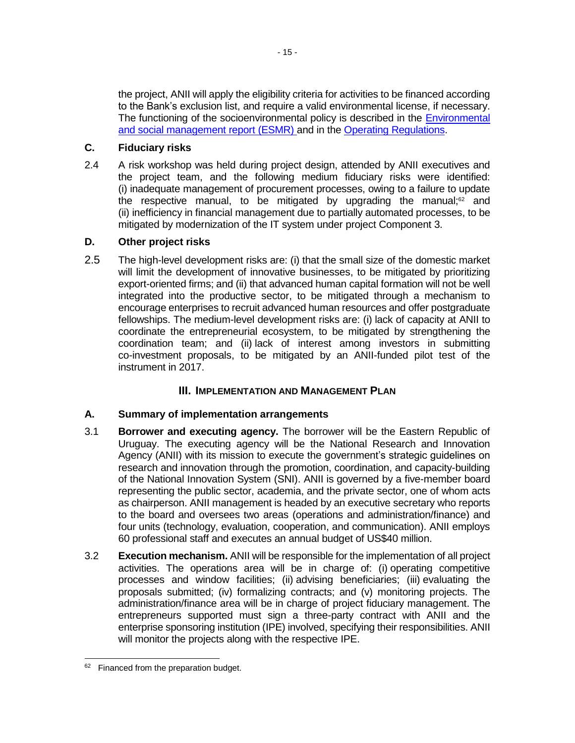the project, ANII will apply the eligibility criteria for activities to be financed according to the Bank's exclusion list, and require a valid environmental license, if necessary. The functioning of the socioenvironmental policy is described in the [Environmental](https://idbg.sharepoint.com/teams/EZ-UR-LON/UR-L1142/_layouts/15/DocIdRedir.aspx?ID=EZSHARE-905749749-62)  [and social management report \(ESMR\)](https://idbg.sharepoint.com/teams/EZ-UR-LON/UR-L1142/_layouts/15/DocIdRedir.aspx?ID=EZSHARE-905749749-62) and in the [Operating Regulations.](https://idbg.sharepoint.com/teams/EZ-UR-LON/UR-L1142/_layouts/15/DocIdRedir.aspx?ID=EZSHARE-905749749-51)

## **C. Fiduciary risks**

2.4 A risk workshop was held during project design, attended by ANII executives and the project team, and the following medium fiduciary risks were identified: (i) inadequate management of procurement processes, owing to a failure to update the respective manual, to be mitigated by upgrading the manual;<sup>62</sup> and (ii) inefficiency in financial management due to partially automated processes, to be mitigated by modernization of the IT system under project Component 3.

## **D. Other project risks**

2.5 The high-level development risks are: (i) that the small size of the domestic market will limit the development of innovative businesses, to be mitigated by prioritizing export-oriented firms; and (ii) that advanced human capital formation will not be well integrated into the productive sector, to be mitigated through a mechanism to encourage enterprises to recruit advanced human resources and offer postgraduate fellowships. The medium-level development risks are: (i) lack of capacity at ANII to coordinate the entrepreneurial ecosystem, to be mitigated by strengthening the coordination team; and (ii) lack of interest among investors in submitting co-investment proposals, to be mitigated by an ANII-funded pilot test of the instrument in 2017.

## **III. IMPLEMENTATION AND MANAGEMENT PLAN**

## **A. Summary of implementation arrangements**

- 3.1 **Borrower and executing agency.** The borrower will be the Eastern Republic of Uruguay. The executing agency will be the National Research and Innovation Agency (ANII) with its mission to execute the government's strategic guidelines on research and innovation through the promotion, coordination, and capacity-building of the National Innovation System (SNI). ANII is governed by a five-member board representing the public sector, academia, and the private sector, one of whom acts as chairperson. ANII management is headed by an executive secretary who reports to the board and oversees two areas (operations and administration/finance) and four units (technology, evaluation, cooperation, and communication). ANII employs 60 professional staff and executes an annual budget of US\$40 million.
- 3.2 **Execution mechanism.** ANII will be responsible for the implementation of all project activities. The operations area will be in charge of: (i) operating competitive processes and window facilities; (ii) advising beneficiaries; (iii) evaluating the proposals submitted; (iv) formalizing contracts; and (v) monitoring projects. The administration/finance area will be in charge of project fiduciary management. The entrepreneurs supported must sign a three-party contract with ANII and the enterprise sponsoring institution (IPE) involved, specifying their responsibilities. ANII will monitor the projects along with the respective IPE.

<sup>&</sup>lt;sup>62</sup> Financed from the preparation budget.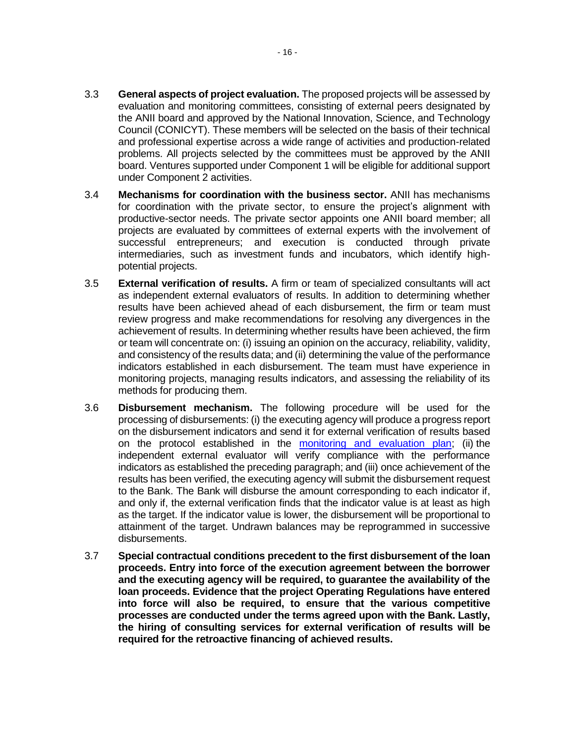- 3.3 **General aspects of project evaluation.** The proposed projects will be assessed by evaluation and monitoring committees, consisting of external peers designated by the ANII board and approved by the National Innovation, Science, and Technology Council (CONICYT). These members will be selected on the basis of their technical and professional expertise across a wide range of activities and production-related problems. All projects selected by the committees must be approved by the ANII board. Ventures supported under Component 1 will be eligible for additional support under Component 2 activities.
- 3.4 **Mechanisms for coordination with the business sector.** ANII has mechanisms for coordination with the private sector, to ensure the project's alignment with productive-sector needs. The private sector appoints one ANII board member; all projects are evaluated by committees of external experts with the involvement of successful entrepreneurs; and execution is conducted through private intermediaries, such as investment funds and incubators, which identify highpotential projects.
- <span id="page-21-0"></span>3.5 **External verification of results.** A firm or team of specialized consultants will act as independent external evaluators of results. In addition to determining whether results have been achieved ahead of each disbursement, the firm or team must review progress and make recommendations for resolving any divergences in the achievement of results. In determining whether results have been achieved, the firm or team will concentrate on: (i) issuing an opinion on the accuracy, reliability, validity, and consistency of the results data; and (ii) determining the value of the performance indicators established in each disbursement. The team must have experience in monitoring projects, managing results indicators, and assessing the reliability of its methods for producing them.
- 3.6 **Disbursement mechanism.** The following procedure will be used for the processing of disbursements: (i) the executing agency will produce a progress report on the disbursement indicators and send it for external verification of results based on the protocol established in the [monitoring and evaluation plan;](https://idbg.sharepoint.com/teams/EZ-UR-LON/UR-L1142/_layouts/15/DocIdRedir.aspx?ID=EZSHARE-905749749-63) (ii) the independent external evaluator will verify compliance with the performance indicators as established the preceding paragraph; and (iii) once achievement of the results has been verified, the executing agency will submit the disbursement request to the Bank. The Bank will disburse the amount corresponding to each indicator if, and only if, the external verification finds that the indicator value is at least as high as the target. If the indicator value is lower, the disbursement will be proportional to attainment of the target. Undrawn balances may be reprogrammed in successive disbursements.
- 3.7 **Special contractual conditions precedent to the first disbursement of the loan proceeds. Entry into force of the execution agreement between the borrower and the executing agency will be required, to guarantee the availability of the loan proceeds. Evidence that the project Operating Regulations have entered into force will also be required, to ensure that the various competitive processes are conducted under the terms agreed upon with the Bank. Lastly, the hiring of consulting services for external verification of results will be required for the retroactive financing of achieved results.**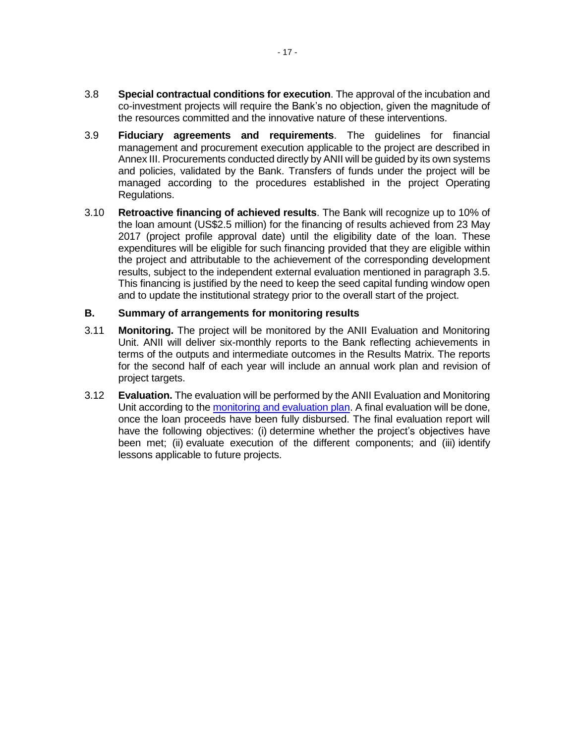- <span id="page-22-0"></span>3.8 **Special contractual conditions for execution**. The approval of the incubation and co-investment projects will require the Bank's no objection, given the magnitude of the resources committed and the innovative nature of these interventions.
- 3.9 **Fiduciary agreements and requirements**. The guidelines for financial management and procurement execution applicable to the project are described in Annex III. Procurements conducted directly by ANII will be guided by its own systems and policies, validated by the Bank. Transfers of funds under the project will be managed according to the procedures established in the project Operating Regulations.
- 3.10 **Retroactive financing of achieved results**. The Bank will recognize up to 10% of the loan amount (US\$2.5 million) for the financing of results achieved from 23 May 2017 (project profile approval date) until the eligibility date of the loan. These expenditures will be eligible for such financing provided that they are eligible within the project and attributable to the achievement of the corresponding development results, subject to the independent external evaluation mentioned in paragraph [3.5.](#page-21-0) This financing is justified by the need to keep the seed capital funding window open and to update the institutional strategy prior to the overall start of the project.

### **B. Summary of arrangements for monitoring results**

- 3.11 **Monitoring.** The project will be monitored by the ANII Evaluation and Monitoring Unit. ANII will deliver six-monthly reports to the Bank reflecting achievements in terms of the outputs and intermediate outcomes in the Results Matrix. The reports for the second half of each year will include an annual work plan and revision of project targets.
- 3.12 **Evaluation.** The evaluation will be performed by the ANII Evaluation and Monitoring Unit according to th[e monitoring and evaluation plan.](https://idbg.sharepoint.com/teams/EZ-UR-LON/UR-L1142/_layouts/15/DocIdRedir.aspx?ID=EZSHARE-905749749-63) A final evaluation will be done, once the loan proceeds have been fully disbursed. The final evaluation report will have the following objectives: (i) determine whether the project's objectives have been met; (ii) evaluate execution of the different components; and (iii) identify lessons applicable to future projects.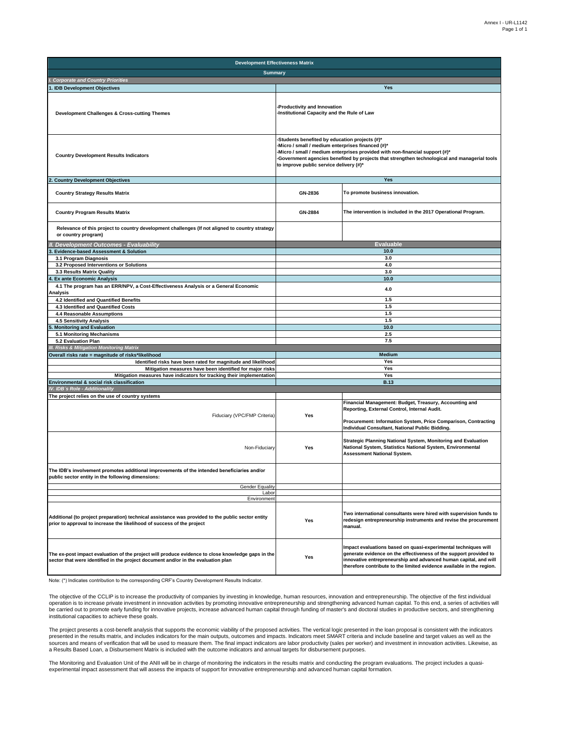| <b>Development Effectiveness Matrix</b>                                                                                                                                                |                                                                                                                                                                                                                                                                                                                             |                                                                                                                                                                                                                                                                                  |  |  |  |  |  |  |  |
|----------------------------------------------------------------------------------------------------------------------------------------------------------------------------------------|-----------------------------------------------------------------------------------------------------------------------------------------------------------------------------------------------------------------------------------------------------------------------------------------------------------------------------|----------------------------------------------------------------------------------------------------------------------------------------------------------------------------------------------------------------------------------------------------------------------------------|--|--|--|--|--|--|--|
| <b>Summary</b>                                                                                                                                                                         |                                                                                                                                                                                                                                                                                                                             |                                                                                                                                                                                                                                                                                  |  |  |  |  |  |  |  |
| I. Corporate and Country Priorities                                                                                                                                                    |                                                                                                                                                                                                                                                                                                                             |                                                                                                                                                                                                                                                                                  |  |  |  |  |  |  |  |
| . IDB Development Objectives                                                                                                                                                           |                                                                                                                                                                                                                                                                                                                             | Yes                                                                                                                                                                                                                                                                              |  |  |  |  |  |  |  |
| <b>Development Challenges &amp; Cross-cutting Themes</b>                                                                                                                               | Productivity and Innovation<br>Institutional Capacity and the Rule of Law                                                                                                                                                                                                                                                   |                                                                                                                                                                                                                                                                                  |  |  |  |  |  |  |  |
| <b>Country Development Results Indicators</b>                                                                                                                                          | Students benefited by education projects (#)*<br>Micro / small / medium enterprises financed (#)*<br>Micro / small / medium enterprises provided with non-financial support (#)*<br>Government agencies benefited by projects that strengthen technological and managerial tools<br>to improve public service delivery (#)* |                                                                                                                                                                                                                                                                                  |  |  |  |  |  |  |  |
| <b>Country Development Objectives</b>                                                                                                                                                  |                                                                                                                                                                                                                                                                                                                             | Yes                                                                                                                                                                                                                                                                              |  |  |  |  |  |  |  |
| <b>Country Strategy Results Matrix</b>                                                                                                                                                 | GN-2836                                                                                                                                                                                                                                                                                                                     | To promote business innovation.                                                                                                                                                                                                                                                  |  |  |  |  |  |  |  |
| <b>Country Program Results Matrix</b>                                                                                                                                                  | GN-2884                                                                                                                                                                                                                                                                                                                     | The intervention is included in the 2017 Operational Program.                                                                                                                                                                                                                    |  |  |  |  |  |  |  |
| Relevance of this project to country development challenges (If not aligned to country strategy<br>or country program)                                                                 |                                                                                                                                                                                                                                                                                                                             |                                                                                                                                                                                                                                                                                  |  |  |  |  |  |  |  |
| <b>Development Outcomes - Evaluability</b>                                                                                                                                             |                                                                                                                                                                                                                                                                                                                             | <b>Evaluable</b>                                                                                                                                                                                                                                                                 |  |  |  |  |  |  |  |
| <b>Evidence-based Assessment &amp; Solution</b>                                                                                                                                        |                                                                                                                                                                                                                                                                                                                             | 10.0                                                                                                                                                                                                                                                                             |  |  |  |  |  |  |  |
| 3.1 Program Diagnosis                                                                                                                                                                  |                                                                                                                                                                                                                                                                                                                             | 3.0                                                                                                                                                                                                                                                                              |  |  |  |  |  |  |  |
| 3.2 Proposed Interventions or Solutions<br>3.3 Results Matrix Quality                                                                                                                  |                                                                                                                                                                                                                                                                                                                             | 4.0<br>3.0                                                                                                                                                                                                                                                                       |  |  |  |  |  |  |  |
| <b>Ex ante Economic Analysis</b>                                                                                                                                                       |                                                                                                                                                                                                                                                                                                                             | 10.0                                                                                                                                                                                                                                                                             |  |  |  |  |  |  |  |
| 4.1 The program has an ERR/NPV, a Cost-Effectiveness Analysis or a General Economic<br>Analysis                                                                                        | 4.0                                                                                                                                                                                                                                                                                                                         |                                                                                                                                                                                                                                                                                  |  |  |  |  |  |  |  |
| 4.2 Identified and Quantified Benefits                                                                                                                                                 |                                                                                                                                                                                                                                                                                                                             | 1.5                                                                                                                                                                                                                                                                              |  |  |  |  |  |  |  |
| 4.3 Identified and Quantified Costs                                                                                                                                                    |                                                                                                                                                                                                                                                                                                                             | 1.5                                                                                                                                                                                                                                                                              |  |  |  |  |  |  |  |
| 4.4 Reasonable Assumptions                                                                                                                                                             |                                                                                                                                                                                                                                                                                                                             | 1.5                                                                                                                                                                                                                                                                              |  |  |  |  |  |  |  |
| 4.5 Sensitivity Analysis                                                                                                                                                               |                                                                                                                                                                                                                                                                                                                             | 1.5                                                                                                                                                                                                                                                                              |  |  |  |  |  |  |  |
| <b>Monitoring and Evaluation</b>                                                                                                                                                       | 10.0                                                                                                                                                                                                                                                                                                                        |                                                                                                                                                                                                                                                                                  |  |  |  |  |  |  |  |
| 5.1 Monitoring Mechanisms                                                                                                                                                              |                                                                                                                                                                                                                                                                                                                             | 2.5                                                                                                                                                                                                                                                                              |  |  |  |  |  |  |  |
| 5.2 Evaluation Plan<br><b>II. Risks &amp; Mitigation Monitoring Matrix</b>                                                                                                             |                                                                                                                                                                                                                                                                                                                             | 7.5                                                                                                                                                                                                                                                                              |  |  |  |  |  |  |  |
| Overall risks rate = magnitude of risks*likelihood                                                                                                                                     |                                                                                                                                                                                                                                                                                                                             | <b>Medium</b>                                                                                                                                                                                                                                                                    |  |  |  |  |  |  |  |
| Identified risks have been rated for magnitude and likelihood                                                                                                                          |                                                                                                                                                                                                                                                                                                                             | Yes                                                                                                                                                                                                                                                                              |  |  |  |  |  |  |  |
| Mitigation measures have been identified for major risks                                                                                                                               |                                                                                                                                                                                                                                                                                                                             | Yes                                                                                                                                                                                                                                                                              |  |  |  |  |  |  |  |
| Mitigation measures have indicators for tracking their implementation                                                                                                                  |                                                                                                                                                                                                                                                                                                                             | Yes                                                                                                                                                                                                                                                                              |  |  |  |  |  |  |  |
| Environmental & social risk classification                                                                                                                                             |                                                                                                                                                                                                                                                                                                                             | <b>B.13</b>                                                                                                                                                                                                                                                                      |  |  |  |  |  |  |  |
| IV. IDB's Role - Additionality                                                                                                                                                         |                                                                                                                                                                                                                                                                                                                             |                                                                                                                                                                                                                                                                                  |  |  |  |  |  |  |  |
| The project relies on the use of country systems                                                                                                                                       |                                                                                                                                                                                                                                                                                                                             |                                                                                                                                                                                                                                                                                  |  |  |  |  |  |  |  |
| Fiduciary (VPC/FMP Criteria)                                                                                                                                                           | Yes                                                                                                                                                                                                                                                                                                                         | Financial Management: Budget, Treasury, Accounting and<br>Reporting, External Control, Internal Audit.<br>Procurement: Information System, Price Comparison, Contracting                                                                                                         |  |  |  |  |  |  |  |
|                                                                                                                                                                                        |                                                                                                                                                                                                                                                                                                                             | Individual Consultant, National Public Bidding.                                                                                                                                                                                                                                  |  |  |  |  |  |  |  |
| Non-Fiduciary                                                                                                                                                                          | Yes                                                                                                                                                                                                                                                                                                                         | Strategic Planning National System, Monitoring and Evaluation<br>National System, Statistics National System, Environmental<br><b>Assessment National System.</b>                                                                                                                |  |  |  |  |  |  |  |
| The IDB's involvement promotes additional improvements of the intended beneficiaries and/or<br>ublic sector entity in the following dimensions:                                        |                                                                                                                                                                                                                                                                                                                             |                                                                                                                                                                                                                                                                                  |  |  |  |  |  |  |  |
| Gender Equality                                                                                                                                                                        |                                                                                                                                                                                                                                                                                                                             |                                                                                                                                                                                                                                                                                  |  |  |  |  |  |  |  |
| Labo<br><b>Environment</b>                                                                                                                                                             |                                                                                                                                                                                                                                                                                                                             |                                                                                                                                                                                                                                                                                  |  |  |  |  |  |  |  |
| Additional (to project preparation) technical assistance was provided to the public sector entity<br>prior to approval to increase the likelihood of success of the project            | Yes                                                                                                                                                                                                                                                                                                                         | Two international consultants were hired with supervision funds to<br>redesign entrepreneurship instruments and revise the procurement<br>manual.                                                                                                                                |  |  |  |  |  |  |  |
| The ex-post impact evaluation of the project will produce evidence to close knowledge gaps in the<br>sector that were identified in the project document and/or in the evaluation plan | Yes                                                                                                                                                                                                                                                                                                                         | Impact evaluations based on quasi-experimental techniques will<br>generate evidence on the effectiveness of the support provided to<br>innovative entrepreneurship and advanced human capital, and will<br>therefore contribute to the limited evidence available in the region. |  |  |  |  |  |  |  |

Note: (\*) Indicates contribution to the corresponding CRF's Country Development Results Indicator.

The objective of the CCLIP is to increase the productivity of companies by investing in knowledge, human resources, innovation and entrepreneurship. The objective of the first individual operation is to increase private investment in innovation activities by promoting innovative entrepreneurship and strengthening advanced human capital. To this end, a series of activities will<br>be carried out to promote ear institutional capacities to achieve these goals.

The project presents a cost-benefit analysis that supports the economic viability of the proposed activities. The vertical logic presented in the loan proposal is consistent with the indicators<br>presented in the results mat sources and means of verification that will be used to measure them. The final impact indicators are labor productivity (sales per worker) and investment in innovation activities. Likewise, as<br>a Results Based Loan, a Disbu

The Monitoring and Evaluation Unit of the ANII will be in charge of monitoring the indicators in the results matrix and conducting the program evaluations. The project includes a quasi-<br>experimental impact assessment that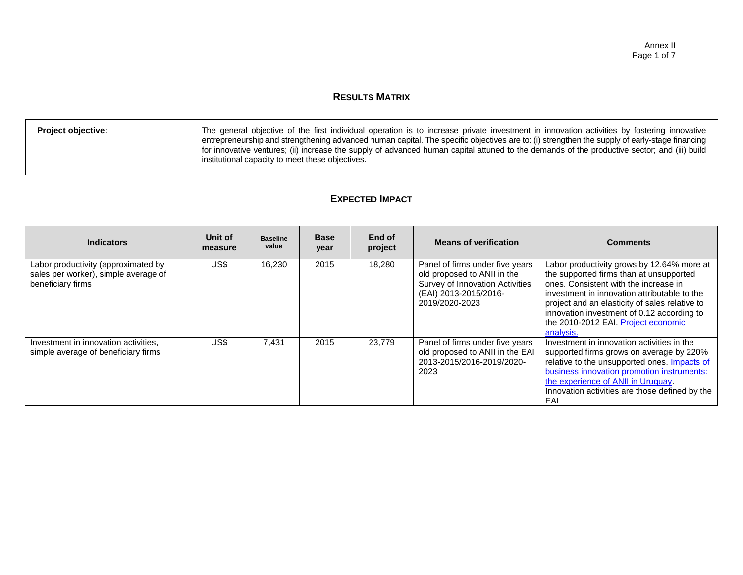### **RESULTS MATRIX**

| <b>Project objective:</b> | The general objective of the first individual operation is to increase private investment in innovation activities by fostering innovative<br>entrepreneurship and strengthening advanced human capital. The specific objectives are to: (i) strengthen the supply of early-stage financing<br>for innovative ventures; (ii) increase the supply of advanced human capital attuned to the demands of the productive sector; and (iii) build<br>institutional capacity to meet these objectives. |
|---------------------------|-------------------------------------------------------------------------------------------------------------------------------------------------------------------------------------------------------------------------------------------------------------------------------------------------------------------------------------------------------------------------------------------------------------------------------------------------------------------------------------------------|
|                           |                                                                                                                                                                                                                                                                                                                                                                                                                                                                                                 |

### **EXPECTED IMPACT**

| <b>Indicators</b>                                                                                | Unit of<br>measure | <b>Baseline</b><br>value | <b>Base</b><br>year | End of<br>project | <b>Means of verification</b>                                                                                                                 | <b>Comments</b>                                                                                                                                                                                                                                                                                                                    |
|--------------------------------------------------------------------------------------------------|--------------------|--------------------------|---------------------|-------------------|----------------------------------------------------------------------------------------------------------------------------------------------|------------------------------------------------------------------------------------------------------------------------------------------------------------------------------------------------------------------------------------------------------------------------------------------------------------------------------------|
| Labor productivity (approximated by<br>sales per worker), simple average of<br>beneficiary firms | US\$               | 16.230                   | 2015                | 18.280            | Panel of firms under five years<br>old proposed to ANII in the<br>Survey of Innovation Activities<br>(EAI) 2013-2015/2016-<br>2019/2020-2023 | Labor productivity grows by 12.64% more at<br>the supported firms than at unsupported<br>ones. Consistent with the increase in<br>investment in innovation attributable to the<br>project and an elasticity of sales relative to<br>innovation investment of 0.12 according to<br>the 2010-2012 EAI. Project economic<br>analysis. |
| Investment in innovation activities,<br>simple average of beneficiary firms                      | US\$.              | 7.431                    | 2015                | 23,779            | Panel of firms under five years<br>old proposed to ANII in the EAI<br>2013-2015/2016-2019/2020-<br>2023                                      | Investment in innovation activities in the<br>supported firms grows on average by 220%<br>relative to the unsupported ones. Impacts of<br>business innovation promotion instruments:<br>the experience of ANII in Uruguay.<br>Innovation activities are those defined by the<br>EAI.                                               |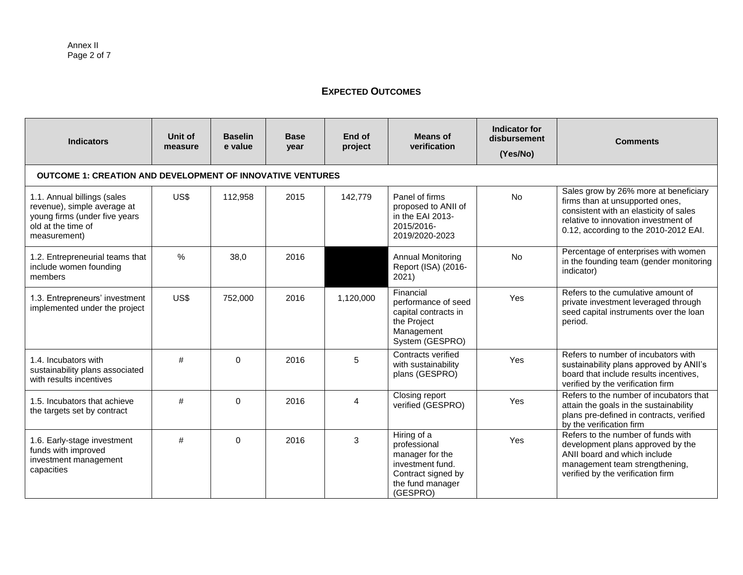### **EXPECTED OUTCOMES**

| <b>Indicators</b>                                                                                                                 | Unit of<br>measure | <b>Baselin</b><br>e value | <b>Base</b><br>year | End of<br>project | <b>Means of</b><br>verification                                                                                          | Indicator for<br>disbursement<br>(Yes/No) | <b>Comments</b>                                                                                                                                                                                     |  |  |  |  |
|-----------------------------------------------------------------------------------------------------------------------------------|--------------------|---------------------------|---------------------|-------------------|--------------------------------------------------------------------------------------------------------------------------|-------------------------------------------|-----------------------------------------------------------------------------------------------------------------------------------------------------------------------------------------------------|--|--|--|--|
| <b>OUTCOME 1: CREATION AND DEVELOPMENT OF INNOVATIVE VENTURES</b>                                                                 |                    |                           |                     |                   |                                                                                                                          |                                           |                                                                                                                                                                                                     |  |  |  |  |
| 1.1. Annual billings (sales<br>revenue), simple average at<br>young firms (under five years<br>old at the time of<br>measurement) | US\$               | 112,958                   | 2015                | 142,779           | Panel of firms<br>proposed to ANII of<br>in the EAI 2013-<br>2015/2016-<br>2019/2020-2023                                | No                                        | Sales grow by 26% more at beneficiary<br>firms than at unsupported ones,<br>consistent with an elasticity of sales<br>relative to innovation investment of<br>0.12, according to the 2010-2012 EAI. |  |  |  |  |
| 1.2. Entrepreneurial teams that<br>include women founding<br>members                                                              | $\frac{0}{0}$      | 38,0                      | 2016                |                   | <b>Annual Monitoring</b><br>Report (ISA) (2016-<br>2021)                                                                 | <b>No</b>                                 | Percentage of enterprises with women<br>in the founding team (gender monitoring<br>indicator)                                                                                                       |  |  |  |  |
| 1.3. Entrepreneurs' investment<br>implemented under the project                                                                   | US\$               | 752,000                   | 2016                | 1,120,000         | Financial<br>performance of seed<br>capital contracts in<br>the Project<br>Management<br>System (GESPRO)                 | Yes                                       | Refers to the cumulative amount of<br>private investment leveraged through<br>seed capital instruments over the loan<br>period.                                                                     |  |  |  |  |
| 1.4. Incubators with<br>sustainability plans associated<br>with results incentives                                                | #                  | $\Omega$                  | 2016                | 5                 | Contracts verified<br>with sustainability<br>plans (GESPRO)                                                              | Yes                                       | Refers to number of incubators with<br>sustainability plans approved by ANII's<br>board that include results incentives,<br>verified by the verification firm                                       |  |  |  |  |
| 1.5. Incubators that achieve<br>the targets set by contract                                                                       | #                  | $\Omega$                  | 2016                | 4                 | <b>Closing report</b><br>verified (GESPRO)                                                                               | Yes                                       | Refers to the number of incubators that<br>attain the goals in the sustainability<br>plans pre-defined in contracts, verified<br>by the verification firm                                           |  |  |  |  |
| 1.6. Early-stage investment<br>funds with improved<br>investment management<br>capacities                                         | #                  | $\Omega$                  | 2016                | 3                 | Hiring of a<br>professional<br>manager for the<br>investment fund.<br>Contract signed by<br>the fund manager<br>(GESPRO) | Yes                                       | Refers to the number of funds with<br>development plans approved by the<br>ANII board and which include<br>management team strengthening,<br>verified by the verification firm                      |  |  |  |  |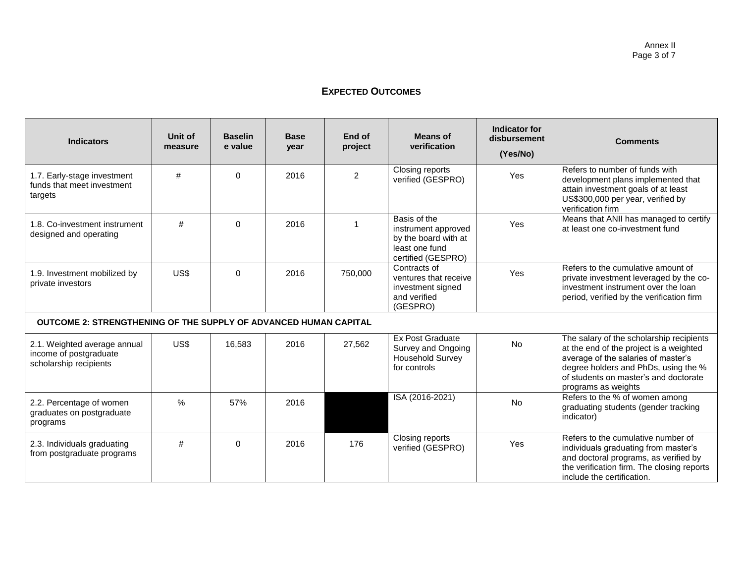### **EXPECTED OUTCOMES**

| <b>Indicators</b>                                                                | Unit of<br>measure | <b>Baselin</b><br>e value | <b>Base</b><br>year | End of<br>project | Means of<br>verification                                                                            | Indicator for<br>disbursement<br>(Yes/No) | <b>Comments</b>                                                                                                                                                                                                                    |
|----------------------------------------------------------------------------------|--------------------|---------------------------|---------------------|-------------------|-----------------------------------------------------------------------------------------------------|-------------------------------------------|------------------------------------------------------------------------------------------------------------------------------------------------------------------------------------------------------------------------------------|
| 1.7. Early-stage investment<br>funds that meet investment<br>targets             | #                  | $\Omega$                  | 2016                | $\overline{2}$    | Closing reports<br>verified (GESPRO)                                                                | Yes                                       | Refers to number of funds with<br>development plans implemented that<br>attain investment goals of at least<br>US\$300,000 per year, verified by<br>verification firm                                                              |
| 1.8. Co-investment instrument<br>designed and operating                          | #                  | $\Omega$                  | 2016                |                   | Basis of the<br>instrument approved<br>by the board with at<br>least one fund<br>certified (GESPRO) | Yes                                       | Means that ANII has managed to certify<br>at least one co-investment fund                                                                                                                                                          |
| 1.9. Investment mobilized by<br>private investors                                | US\$               | $\Omega$                  | 2016                | 750,000           | Contracts of<br>ventures that receive<br>investment signed<br>and verified<br>(GESPRO)              | Yes                                       | Refers to the cumulative amount of<br>private investment leveraged by the co-<br>investment instrument over the loan<br>period, verified by the verification firm                                                                  |
| <b>OUTCOME 2: STRENGTHENING OF THE SUPPLY OF ADVANCED HUMAN CAPITAL</b>          |                    |                           |                     |                   |                                                                                                     |                                           |                                                                                                                                                                                                                                    |
| 2.1. Weighted average annual<br>income of postgraduate<br>scholarship recipients | US\$               | 16,583                    | 2016                | 27,562            | <b>Ex Post Graduate</b><br>Survey and Ongoing<br><b>Household Survey</b><br>for controls            | <b>No</b>                                 | The salary of the scholarship recipients<br>at the end of the project is a weighted<br>average of the salaries of master's<br>degree holders and PhDs, using the %<br>of students on master's and doctorate<br>programs as weights |
| 2.2. Percentage of women<br>graduates on postgraduate<br>programs                | $\frac{0}{0}$      | 57%                       | 2016                |                   | ISA (2016-2021)                                                                                     | <b>No</b>                                 | Refers to the % of women among<br>graduating students (gender tracking<br>indicator)                                                                                                                                               |
| 2.3. Individuals graduating<br>from postgraduate programs                        | #                  | $\Omega$                  | 2016                | 176               | Closing reports<br>verified (GESPRO)                                                                | Yes                                       | Refers to the cumulative number of<br>individuals graduating from master's<br>and doctoral programs, as verified by<br>the verification firm. The closing reports<br>include the certification.                                    |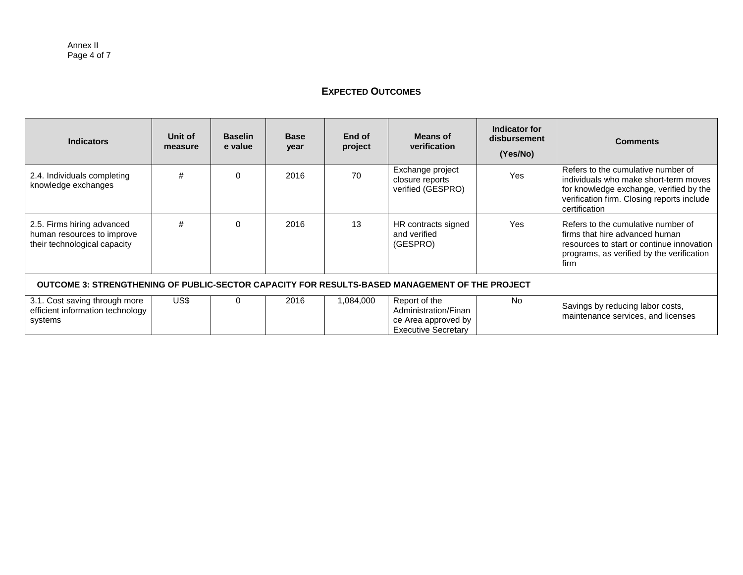### **EXPECTED OUTCOMES**

| <b>Indicators</b>                                                                              | Unit of<br>measure | <b>Baselin</b><br>e value | <b>Base</b><br>year | End of<br>project | <b>Means of</b><br>verification                                                            | Indicator for<br>disbursement<br>(Yes/No) | <b>Comments</b>                                                                                                                                                                       |  |  |
|------------------------------------------------------------------------------------------------|--------------------|---------------------------|---------------------|-------------------|--------------------------------------------------------------------------------------------|-------------------------------------------|---------------------------------------------------------------------------------------------------------------------------------------------------------------------------------------|--|--|
| 2.4. Individuals completing<br>knowledge exchanges                                             | #                  | $\Omega$                  | 2016                | 70                | Exchange project<br>closure reports<br>verified (GESPRO)                                   | <b>Yes</b>                                | Refers to the cumulative number of<br>individuals who make short-term moves<br>for knowledge exchange, verified by the<br>verification firm. Closing reports include<br>certification |  |  |
| 2.5. Firms hiring advanced<br>human resources to improve<br>their technological capacity       | #                  | $\Omega$                  | 2016                | 13                | HR contracts signed<br>and verified<br>(GESPRO)                                            | Yes                                       | Refers to the cumulative number of<br>firms that hire advanced human<br>resources to start or continue innovation<br>programs, as verified by the verification<br>firm                |  |  |
| OUTCOME 3: STRENGTHENING OF PUBLIC-SECTOR CAPACITY FOR RESULTS-BASED MANAGEMENT OF THE PROJECT |                    |                           |                     |                   |                                                                                            |                                           |                                                                                                                                                                                       |  |  |
| 3.1. Cost saving through more<br>efficient information technology<br>systems                   | US\$               | 0                         | 2016                | 1,084,000         | Report of the<br>Administration/Finan<br>ce Area approved by<br><b>Executive Secretary</b> | No.                                       | Savings by reducing labor costs,<br>maintenance services, and licenses                                                                                                                |  |  |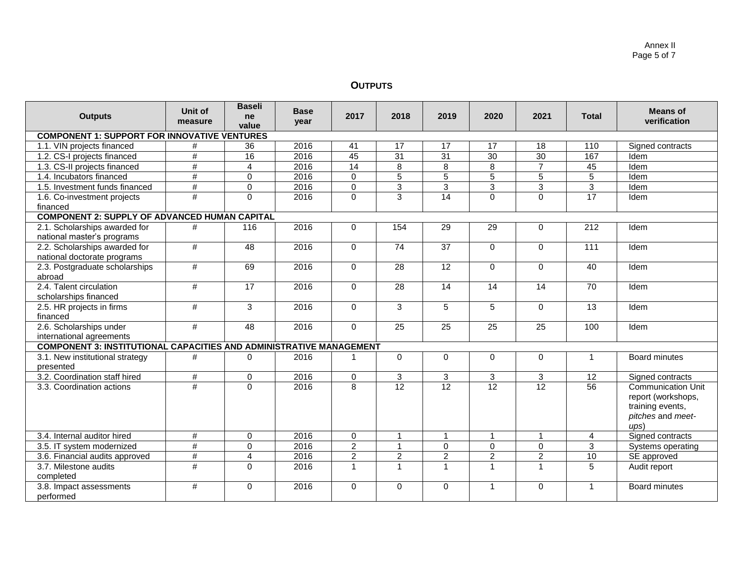#### Annex II Page 5 of 7

## **OUTPUTS**

| <b>Outputs</b>                                                             | Unit of<br>measure | <b>Baseli</b><br>ne<br>value | <b>Base</b><br>year | 2017           | 2018            | 2019            | 2020            | 2021            | <b>Total</b>    | <b>Means of</b><br>verification                                                                 |  |
|----------------------------------------------------------------------------|--------------------|------------------------------|---------------------|----------------|-----------------|-----------------|-----------------|-----------------|-----------------|-------------------------------------------------------------------------------------------------|--|
| <b>COMPONENT 1: SUPPORT FOR INNOVATIVE VENTURES</b>                        |                    |                              |                     |                |                 |                 |                 |                 |                 |                                                                                                 |  |
| 1.1. VIN projects financed                                                 | #                  | 36                           | 2016                | 41             | 17              | 17              | 17              | 18              | 110             | Signed contracts                                                                                |  |
| 1.2. CS-I projects financed                                                | $\#$               | 16                           | 2016                | 45             | 31              | $\overline{31}$ | 30              | 30              | 167             | Idem                                                                                            |  |
| 1.3. CS-II projects financed                                               | $\#$               | $\overline{4}$               | 2016                | 14             | 8               | 8               | 8               | $\overline{7}$  | 45              | Idem                                                                                            |  |
| 1.4. Incubators financed                                                   | #                  | $\mathbf 0$                  | 2016                | 0              | 5               | 5               | 5               | 5               | 5               | Idem                                                                                            |  |
| 1.5. Investment funds financed                                             | $\overline{\#}$    | $\overline{0}$               | 2016                | $\mathbf 0$    | $\overline{3}$  | $\overline{3}$  | $\overline{3}$  | 3               | $\overline{3}$  | Idem                                                                                            |  |
| 1.6. Co-investment projects                                                | #                  | $\overline{0}$               | 2016                | $\Omega$       | $\overline{3}$  | 14              | $\mathbf 0$     | 0               | 17              | Idem                                                                                            |  |
| financed                                                                   |                    |                              |                     |                |                 |                 |                 |                 |                 |                                                                                                 |  |
| <b>COMPONENT 2: SUPPLY OF ADVANCED HUMAN CAPITAL</b>                       |                    |                              |                     |                |                 |                 |                 |                 |                 |                                                                                                 |  |
| 2.1. Scholarships awarded for<br>national master's programs                | #                  | 116                          | 2016                | $\Omega$       | 154             | 29              | 29              | 0               | 212             | Idem                                                                                            |  |
| 2.2. Scholarships awarded for<br>national doctorate programs               | #                  | 48                           | 2016                | $\mathbf 0$    | 74              | 37              | $\mathbf 0$     | 0               | 111             | Idem                                                                                            |  |
| 2.3. Postgraduate scholarships<br>abroad                                   | $\#$               | 69                           | 2016                | $\Omega$       | $\overline{28}$ | $\overline{12}$ | $\Omega$        | $\Omega$        | 40              | Idem                                                                                            |  |
| 2.4. Talent circulation<br>scholarships financed                           | #                  | 17                           | 2016                | $\Omega$       | 28              | 14              | 14              | 14              | $\overline{70}$ | Idem                                                                                            |  |
| 2.5. HR projects in firms<br>financed                                      | $\#$               | 3                            | 2016                | $\Omega$       | 3               | 5               | 5               | $\Omega$        | 13              | Idem                                                                                            |  |
| 2.6. Scholarships under<br>international agreements                        | $\#$               | 48                           | 2016                | $\Omega$       | 25              | 25              | 25              | 25              | 100             | Idem                                                                                            |  |
| <b>COMPONENT 3: INSTITUTIONAL CAPACITIES AND ADMINISTRATIVE MANAGEMENT</b> |                    |                              |                     |                |                 |                 |                 |                 |                 |                                                                                                 |  |
| 3.1. New institutional strategy<br>presented                               | $\#$               | $\mathbf 0$                  | 2016                |                | 0               | 0               | $\mathbf 0$     | 0               | 1               | <b>Board minutes</b>                                                                            |  |
| 3.2. Coordination staff hired                                              | #                  | $\mathbf 0$                  | 2016                | 0              | 3               | 3               | 3               | 3               | 12              | Signed contracts                                                                                |  |
| 3.3. Coordination actions                                                  | #                  | $\mathbf 0$                  | 2016                | 8              | $\overline{12}$ | $\overline{12}$ | $\overline{12}$ | $\overline{12}$ | 56              | <b>Communication Unit</b><br>report (workshops,<br>training events,<br>pitches and meet-<br>(1) |  |
| 3.4. Internal auditor hired                                                | $\#$               | $\mathbf 0$                  | 2016                | $\mathbf 0$    | $\mathbf{1}$    | $\mathbf{1}$    | $\mathbf{1}$    | $\mathbf{1}$    | 4               | Signed contracts                                                                                |  |
| 3.5. IT system modernized                                                  | #                  | $\mathbf 0$                  | 2016                | $\overline{2}$ | $\mathbf{1}$    | $\Omega$        | $\Omega$        | $\Omega$        | $\overline{3}$  | Systems operating                                                                               |  |
| 3.6. Financial audits approved                                             | $\#$               | $\overline{4}$               | 2016                | $\overline{c}$ | $\overline{c}$  | $\overline{c}$  | $\overline{c}$  | $\overline{2}$  | 10              | SE approved                                                                                     |  |
| 3.7. Milestone audits<br>completed                                         | #                  | $\Omega$                     | 2016                | $\mathbf{1}$   | $\mathbf{1}$    | $\mathbf{1}$    | 1               | $\mathbf{1}$    | 5               | Audit report                                                                                    |  |
| 3.8. Impact assessments<br>performed                                       | #                  | $\Omega$                     | 2016                | $\Omega$       | $\Omega$        | $\Omega$        | 1               | $\Omega$        |                 | Board minutes                                                                                   |  |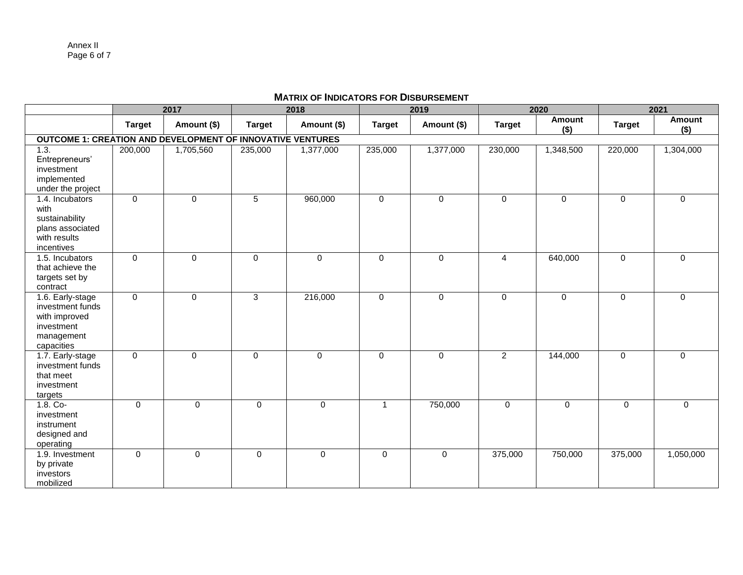### **MATRIX OF INDICATORS FOR DISBURSEMENT**

|                                                                   |                | 2017        |               | 2018         |               | 2019        |                | 2020              |               | 2021              |
|-------------------------------------------------------------------|----------------|-------------|---------------|--------------|---------------|-------------|----------------|-------------------|---------------|-------------------|
|                                                                   | <b>Target</b>  | Amount (\$) | <b>Target</b> | Amount (\$)  | <b>Target</b> | Amount (\$) | <b>Target</b>  | Amount<br>$($ \$) | <b>Target</b> | Amount<br>$($ \$) |
| <b>OUTCOME 1: CREATION AND DEVELOPMENT OF INNOVATIVE VENTURES</b> |                |             |               |              |               |             |                |                   |               |                   |
| 1.3.                                                              | 200,000        | 1,705,560   | 235,000       | 1,377,000    | 235,000       | 1,377,000   | 230,000        | 1,348,500         | 220,000       | 1,304,000         |
| Entrepreneurs'                                                    |                |             |               |              |               |             |                |                   |               |                   |
| investment                                                        |                |             |               |              |               |             |                |                   |               |                   |
| implemented                                                       |                |             |               |              |               |             |                |                   |               |                   |
| under the project                                                 |                |             |               |              |               |             |                |                   |               |                   |
| 1.4. Incubators                                                   | $\mathbf 0$    | $\mathbf 0$ | 5             | 960,000      | $\mathbf 0$   | $\Omega$    | $\mathbf 0$    | 0                 | $\mathbf 0$   | $\Omega$          |
| with                                                              |                |             |               |              |               |             |                |                   |               |                   |
| sustainability                                                    |                |             |               |              |               |             |                |                   |               |                   |
| plans associated                                                  |                |             |               |              |               |             |                |                   |               |                   |
| with results                                                      |                |             |               |              |               |             |                |                   |               |                   |
| incentives                                                        |                |             |               |              |               |             |                |                   |               |                   |
| 1.5. Incubators                                                   | $\mathbf 0$    | $\mathbf 0$ | $\mathbf 0$   | $\mathsf{O}$ | $\mathbf 0$   | $\mathbf 0$ | $\overline{4}$ | 640,000           | $\mathbf 0$   | $\mathbf 0$       |
| that achieve the                                                  |                |             |               |              |               |             |                |                   |               |                   |
| targets set by                                                    |                |             |               |              |               |             |                |                   |               |                   |
| contract                                                          |                |             |               |              |               |             |                |                   |               |                   |
| 1.6. Early-stage                                                  | $\overline{0}$ | $\mathbf 0$ | 3             | 216,000      | $\mathbf 0$   | $\Omega$    | $\mathbf 0$    | $\mathbf 0$       | $\mathbf 0$   | $\Omega$          |
| investment funds                                                  |                |             |               |              |               |             |                |                   |               |                   |
| with improved                                                     |                |             |               |              |               |             |                |                   |               |                   |
| investment                                                        |                |             |               |              |               |             |                |                   |               |                   |
| management                                                        |                |             |               |              |               |             |                |                   |               |                   |
| capacities<br>1.7. Early-stage                                    | $\mathbf 0$    | $\mathbf 0$ | $\Omega$      | $\mathbf 0$  | $\mathbf 0$   | $\Omega$    | $\overline{2}$ | 144,000           | $\mathbf 0$   | $\Omega$          |
| investment funds                                                  |                |             |               |              |               |             |                |                   |               |                   |
| that meet                                                         |                |             |               |              |               |             |                |                   |               |                   |
| investment                                                        |                |             |               |              |               |             |                |                   |               |                   |
| targets                                                           |                |             |               |              |               |             |                |                   |               |                   |
| $1.8.$ Co-                                                        | $\mathbf 0$    | $\Omega$    | $\Omega$      | $\mathbf 0$  | $\mathbf{1}$  | 750,000     | $\mathbf 0$    | $\mathbf{0}$      | $\Omega$      | $\Omega$          |
| investment                                                        |                |             |               |              |               |             |                |                   |               |                   |
| instrument                                                        |                |             |               |              |               |             |                |                   |               |                   |
| designed and                                                      |                |             |               |              |               |             |                |                   |               |                   |
| operating                                                         |                |             |               |              |               |             |                |                   |               |                   |
| 1.9. Investment                                                   | $\mathbf 0$    | $\mathbf 0$ | $\mathbf 0$   | $\mathbf 0$  | $\Omega$      | $\mathbf 0$ | 375,000        | 750,000           | 375,000       | 1,050,000         |
| by private                                                        |                |             |               |              |               |             |                |                   |               |                   |
| investors                                                         |                |             |               |              |               |             |                |                   |               |                   |
| mobilized                                                         |                |             |               |              |               |             |                |                   |               |                   |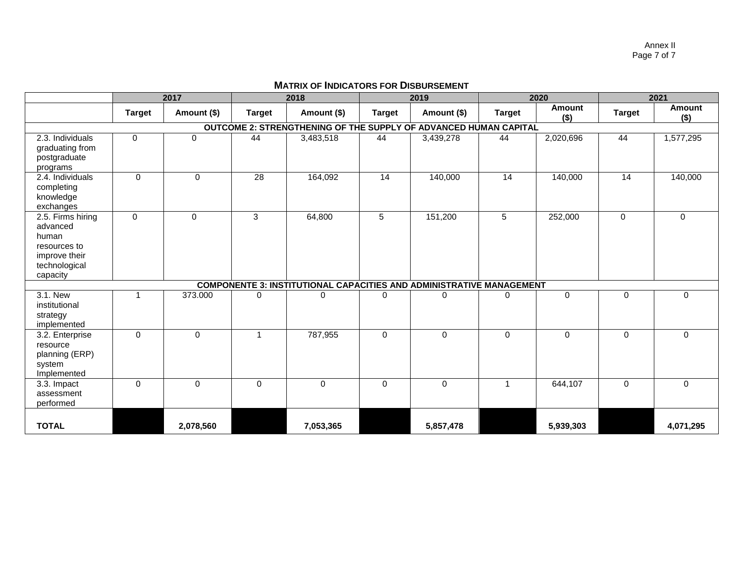Annex II Page 7 of 7

| <b>MATRIX OF INDICATORS FOR DISBURSEMENT</b> |  |
|----------------------------------------------|--|
|----------------------------------------------|--|

|                                                                                                      | 2017                                                             |             | 2018          |                                                                             | 2019            |             | 2020            |                   | 2021          |                          |
|------------------------------------------------------------------------------------------------------|------------------------------------------------------------------|-------------|---------------|-----------------------------------------------------------------------------|-----------------|-------------|-----------------|-------------------|---------------|--------------------------|
|                                                                                                      | <b>Target</b>                                                    | Amount (\$) | <b>Target</b> | Amount (\$)                                                                 | <b>Target</b>   | Amount (\$) | <b>Target</b>   | Amount<br>$($ \$) | <b>Target</b> | <b>Amount</b><br>$($ \$) |
|                                                                                                      | OUTCOME 2: STRENGTHENING OF THE SUPPLY OF ADVANCED HUMAN CAPITAL |             |               |                                                                             |                 |             |                 |                   |               |                          |
| 2.3. Individuals<br>graduating from<br>postgraduate<br>programs                                      | 0                                                                | $\mathbf 0$ | 44            | 3,483,518                                                                   | 44              | 3,439,278   | 44              | 2,020,696         | 44            | 1,577,295                |
| 2.4. Individuals<br>completing<br>knowledge<br>exchanges                                             | $\Omega$                                                         | $\Omega$    | 28            | 164,092                                                                     | $\overline{14}$ | 140,000     | $\overline{14}$ | 140,000           | 14            | 140,000                  |
| 2.5. Firms hiring<br>advanced<br>human<br>resources to<br>improve their<br>technological<br>capacity | 0                                                                | 0           | 3             | 64,800                                                                      | 5               | 151,200     | 5               | 252,000           | $\mathbf 0$   | $\mathbf{0}$             |
|                                                                                                      |                                                                  |             |               | <b>COMPONENTE 3: INSTITUTIONAL CAPACITIES AND ADMINISTRATIVE MANAGEMENT</b> |                 |             |                 |                   |               |                          |
| 3.1. New<br>institutional<br>strategy<br>implemented                                                 |                                                                  | 373.000     | $\Omega$      | $\mathbf{0}$                                                                | $\Omega$        | $\Omega$    | $\Omega$        | $\Omega$          | $\Omega$      | $\Omega$                 |
| 3.2. Enterprise<br>resource<br>planning (ERP)<br>system<br>Implemented                               | $\mathbf 0$                                                      | $\mathbf 0$ | 1             | 787,955                                                                     | $\mathbf 0$     | $\mathbf 0$ | $\mathbf 0$     | $\mathbf 0$       | $\mathbf 0$   | 0                        |
| 3.3. Impact<br>assessment<br>performed                                                               | $\mathbf 0$                                                      | $\Omega$    | $\mathbf 0$   | 0                                                                           | $\Omega$        | $\mathbf 0$ | 1               | 644,107           | $\mathbf 0$   | $\mathbf 0$              |
| <b>TOTAL</b>                                                                                         |                                                                  | 2,078,560   |               | 7,053,365                                                                   |                 | 5,857,478   |                 | 5,939,303         |               | 4,071,295                |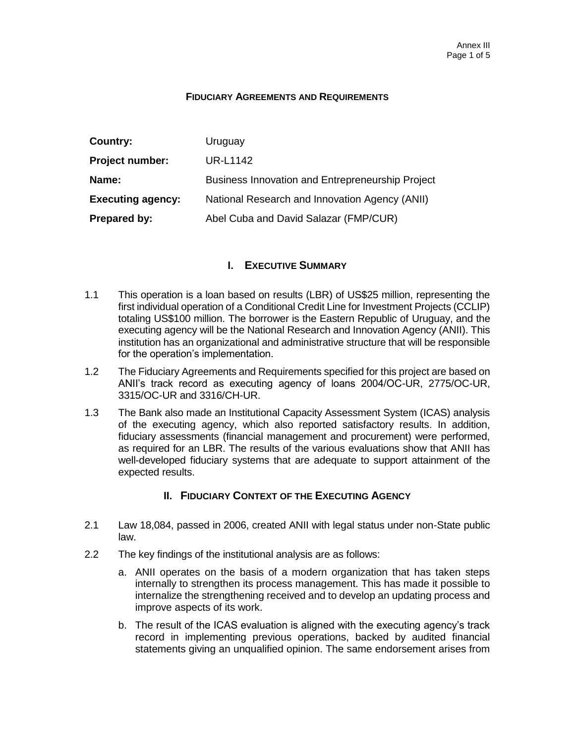#### **FIDUCIARY AGREEMENTS AND REQUIREMENTS**

| Country:                 | Uruguay                                          |
|--------------------------|--------------------------------------------------|
| <b>Project number:</b>   | UR-L1142                                         |
| Name:                    | Business Innovation and Entrepreneurship Project |
| <b>Executing agency:</b> | National Research and Innovation Agency (ANII)   |
| Prepared by:             | Abel Cuba and David Salazar (FMP/CUR)            |

### I. **EXECUTIVE SUMMARY**

- 1.1 This operation is a loan based on results (LBR) of US\$25 million, representing the first individual operation of a Conditional Credit Line for Investment Projects (CCLIP) totaling US\$100 million. The borrower is the Eastern Republic of Uruguay, and the executing agency will be the National Research and Innovation Agency (ANII). This institution has an organizational and administrative structure that will be responsible for the operation's implementation.
- 1.2 The Fiduciary Agreements and Requirements specified for this project are based on ANII's track record as executing agency of loans 2004/OC-UR, 2775/OC-UR, 3315/OC-UR and 3316/CH-UR.
- 1.3 The Bank also made an Institutional Capacity Assessment System (ICAS) analysis of the executing agency, which also reported satisfactory results. In addition, fiduciary assessments (financial management and procurement) were performed, as required for an LBR. The results of the various evaluations show that ANII has well-developed fiduciary systems that are adequate to support attainment of the expected results.

### II. **FIDUCIARY CONTEXT OF THE EXECUTING AGENCY**

- 2.1 Law 18,084, passed in 2006, created ANII with legal status under non-State public law.
- 2.2 The key findings of the institutional analysis are as follows:
	- a. ANII operates on the basis of a modern organization that has taken steps internally to strengthen its process management. This has made it possible to internalize the strengthening received and to develop an updating process and improve aspects of its work.
	- b. The result of the ICAS evaluation is aligned with the executing agency's track record in implementing previous operations, backed by audited financial statements giving an unqualified opinion. The same endorsement arises from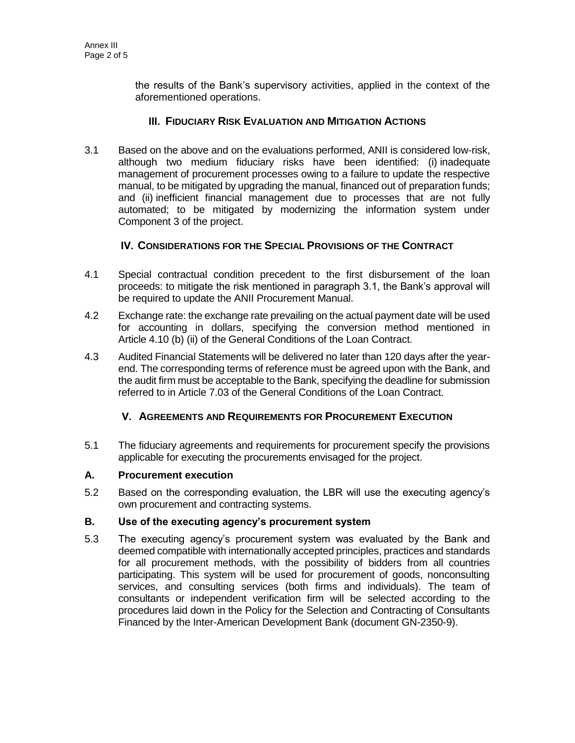the results of the Bank's supervisory activities, applied in the context of the aforementioned operations.

### III. **FIDUCIARY RISK EVALUATION AND MITIGATION ACTIONS**

3.1 Based on the above and on the evaluations performed, ANII is considered low-risk, although two medium fiduciary risks have been identified: (i) inadequate management of procurement processes owing to a failure to update the respective manual, to be mitigated by upgrading the manual, financed out of preparation funds; and (ii) inefficient financial management due to processes that are not fully automated; to be mitigated by modernizing the information system under Component 3 of the project.

### IV. **CONSIDERATIONS FOR THE SPECIAL PROVISIONS OF THE CONTRACT**

- 4.1 Special contractual condition precedent to the first disbursement of the loan proceeds: to mitigate the risk mentioned in paragraph 3.1, the Bank's approval will be required to update the ANII Procurement Manual.
- 4.2 Exchange rate: the exchange rate prevailing on the actual payment date will be used for accounting in dollars, specifying the conversion method mentioned in Article 4.10 (b) (ii) of the General Conditions of the Loan Contract.
- 4.3 Audited Financial Statements will be delivered no later than 120 days after the yearend. The corresponding terms of reference must be agreed upon with the Bank, and the audit firm must be acceptable to the Bank, specifying the deadline for submission referred to in Article 7.03 of the General Conditions of the Loan Contract.

## V. **AGREEMENTS AND REQUIREMENTS FOR PROCUREMENT EXECUTION**

5.1 The fiduciary agreements and requirements for procurement specify the provisions applicable for executing the procurements envisaged for the project.

### **A. Procurement execution**

5.2 Based on the corresponding evaluation, the LBR will use the executing agency's own procurement and contracting systems.

### **B. Use of the executing agency's procurement system**

5.3 The executing agency's procurement system was evaluated by the Bank and deemed compatible with internationally accepted principles, practices and standards for all procurement methods, with the possibility of bidders from all countries participating. This system will be used for procurement of goods, nonconsulting services, and consulting services (both firms and individuals). The team of consultants or independent verification firm will be selected according to the procedures laid down in the Policy for the Selection and Contracting of Consultants Financed by the Inter-American Development Bank (document GN-2350-9).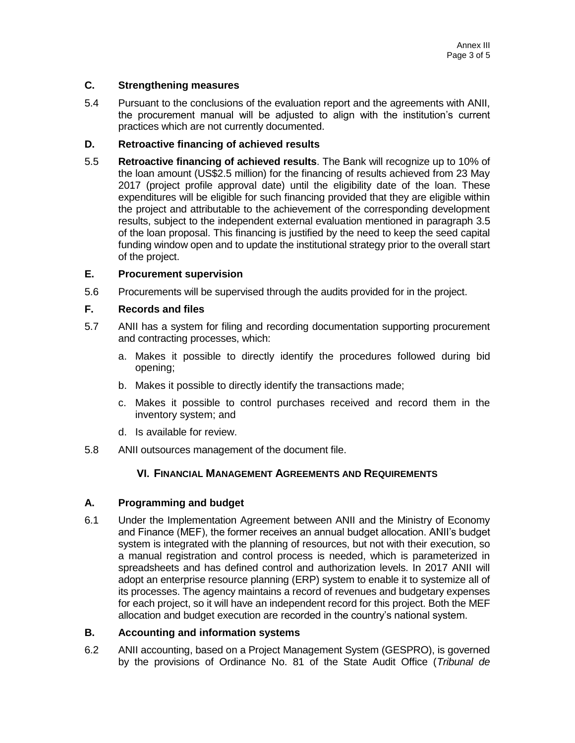### **C. Strengthening measures**

5.4 Pursuant to the conclusions of the evaluation report and the agreements with ANII, the procurement manual will be adjusted to align with the institution's current practices which are not currently documented.

#### **D. Retroactive financing of achieved results**

5.5 **Retroactive financing of achieved results**. The Bank will recognize up to 10% of the loan amount (US\$2.5 million) for the financing of results achieved from 23 May 2017 (project profile approval date) until the eligibility date of the loan. These expenditures will be eligible for such financing provided that they are eligible within the project and attributable to the achievement of the corresponding development results, subject to the independent external evaluation mentioned in paragraph 3.5 of the loan proposal. This financing is justified by the need to keep the seed capital funding window open and to update the institutional strategy prior to the overall start of the project.

### **E. Procurement supervision**

5.6 Procurements will be supervised through the audits provided for in the project.

#### **F. Records and files**

- 5.7 ANII has a system for filing and recording documentation supporting procurement and contracting processes, which:
	- a. Makes it possible to directly identify the procedures followed during bid opening;
	- b. Makes it possible to directly identify the transactions made;
	- c. Makes it possible to control purchases received and record them in the inventory system; and
	- d. Is available for review.
- 5.8 ANII outsources management of the document file.

### VI. **FINANCIAL MANAGEMENT AGREEMENTS AND REQUIREMENTS**

#### **A. Programming and budget**

6.1 Under the Implementation Agreement between ANII and the Ministry of Economy and Finance (MEF), the former receives an annual budget allocation. ANII's budget system is integrated with the planning of resources, but not with their execution, so a manual registration and control process is needed, which is parameterized in spreadsheets and has defined control and authorization levels. In 2017 ANII will adopt an enterprise resource planning (ERP) system to enable it to systemize all of its processes. The agency maintains a record of revenues and budgetary expenses for each project, so it will have an independent record for this project. Both the MEF allocation and budget execution are recorded in the country's national system.

#### **B. Accounting and information systems**

6.2 ANII accounting, based on a Project Management System (GESPRO), is governed by the provisions of Ordinance No. 81 of the State Audit Office (*Tribunal de*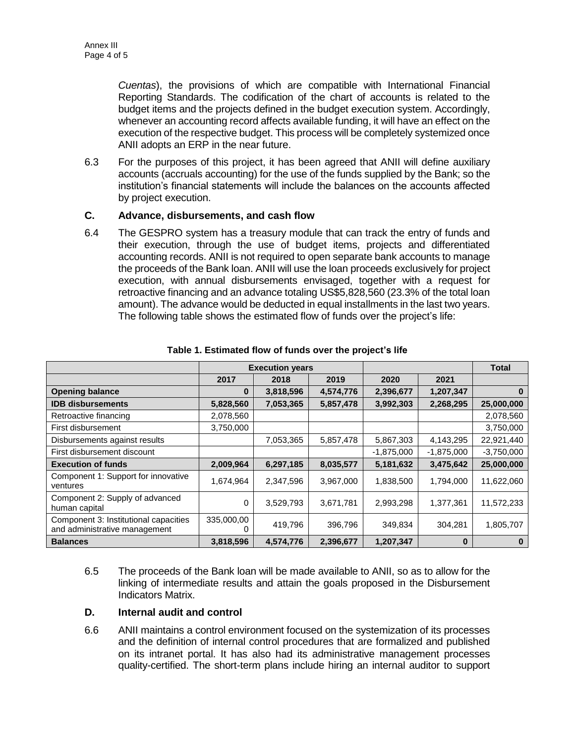*Cuentas*), the provisions of which are compatible with International Financial Reporting Standards. The codification of the chart of accounts is related to the budget items and the projects defined in the budget execution system. Accordingly, whenever an accounting record affects available funding, it will have an effect on the execution of the respective budget. This process will be completely systemized once ANII adopts an ERP in the near future.

6.3 For the purposes of this project, it has been agreed that ANII will define auxiliary accounts (accruals accounting) for the use of the funds supplied by the Bank; so the institution's financial statements will include the balances on the accounts affected by project execution.

### **C. Advance, disbursements, and cash flow**

6.4 The GESPRO system has a treasury module that can track the entry of funds and their execution, through the use of budget items, projects and differentiated accounting records. ANII is not required to open separate bank accounts to manage the proceeds of the Bank loan. ANII will use the loan proceeds exclusively for project execution, with annual disbursements envisaged, together with a request for retroactive financing and an advance totaling US\$5,828,560 (23.3% of the total loan amount). The advance would be deducted in equal installments in the last two years. The following table shows the estimated flow of funds over the project's life:

|                                                                        | <b>Execution years</b> |           |           |              | <b>Total</b> |              |
|------------------------------------------------------------------------|------------------------|-----------|-----------|--------------|--------------|--------------|
|                                                                        | 2017                   | 2018      | 2019      | 2020         | 2021         |              |
| <b>Opening balance</b>                                                 | 0                      | 3,818,596 | 4,574,776 | 2,396,677    | 1,207,347    | 0            |
| <b>IDB disbursements</b>                                               | 5,828,560              | 7,053,365 | 5,857,478 | 3,992,303    | 2,268,295    | 25,000,000   |
| Retroactive financing                                                  | 2,078,560              |           |           |              |              | 2,078,560    |
| First disbursement                                                     | 3,750,000              |           |           |              |              | 3,750,000    |
| Disbursements against results                                          |                        | 7,053,365 | 5,857,478 | 5,867,303    | 4,143,295    | 22,921,440   |
| First disbursement discount                                            |                        |           |           | $-1,875,000$ | $-1,875,000$ | $-3,750,000$ |
| <b>Execution of funds</b>                                              | 2,009,964              | 6,297,185 | 8,035,577 | 5,181,632    | 3,475,642    | 25,000,000   |
| Component 1: Support for innovative<br>ventures                        | 1,674,964              | 2,347,596 | 3,967,000 | 1,838,500    | 1,794,000    | 11,622,060   |
| Component 2: Supply of advanced<br>human capital                       | 0                      | 3,529,793 | 3,671,781 | 2,993,298    | 1,377,361    | 11,572,233   |
| Component 3: Institutional capacities<br>and administrative management | 335,000,00             | 419,796   | 396,796   | 349,834      | 304,281      | 1,805,707    |
| <b>Balances</b>                                                        | 3,818,596              | 4,574,776 | 2,396,677 | 1,207,347    | 0            | 0            |

#### **Table 1. Estimated flow of funds over the project's life**

6.5 The proceeds of the Bank loan will be made available to ANII, so as to allow for the linking of intermediate results and attain the goals proposed in the Disbursement Indicators Matrix.

### **D. Internal audit and control**

6.6 ANII maintains a control environment focused on the systemization of its processes and the definition of internal control procedures that are formalized and published on its intranet portal. It has also had its administrative management processes quality-certified. The short-term plans include hiring an internal auditor to support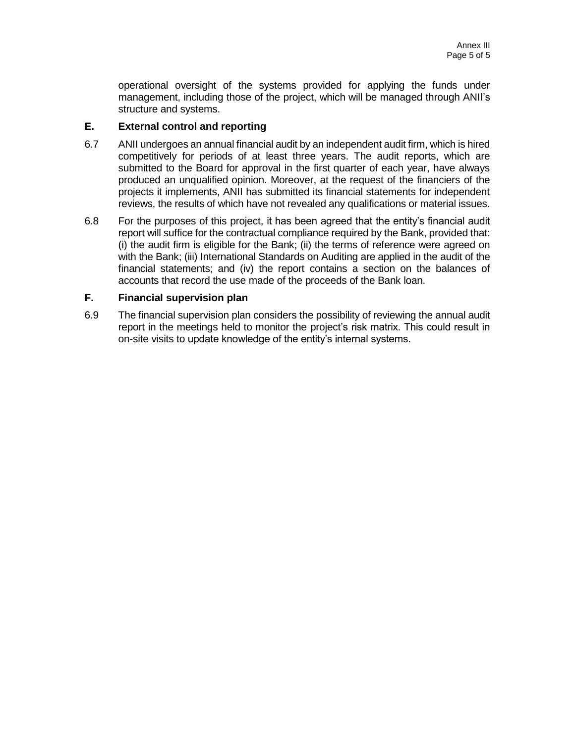operational oversight of the systems provided for applying the funds under management, including those of the project, which will be managed through ANII's structure and systems.

### **E. External control and reporting**

- 6.7 ANII undergoes an annual financial audit by an independent audit firm, which is hired competitively for periods of at least three years. The audit reports, which are submitted to the Board for approval in the first quarter of each year, have always produced an unqualified opinion. Moreover, at the request of the financiers of the projects it implements, ANII has submitted its financial statements for independent reviews, the results of which have not revealed any qualifications or material issues.
- 6.8 For the purposes of this project, it has been agreed that the entity's financial audit report will suffice for the contractual compliance required by the Bank, provided that: (i) the audit firm is eligible for the Bank; (ii) the terms of reference were agreed on with the Bank; (iii) International Standards on Auditing are applied in the audit of the financial statements; and (iv) the report contains a section on the balances of accounts that record the use made of the proceeds of the Bank loan.

### **F. Financial supervision plan**

6.9 The financial supervision plan considers the possibility of reviewing the annual audit report in the meetings held to monitor the project's risk matrix. This could result in on-site visits to update knowledge of the entity's internal systems.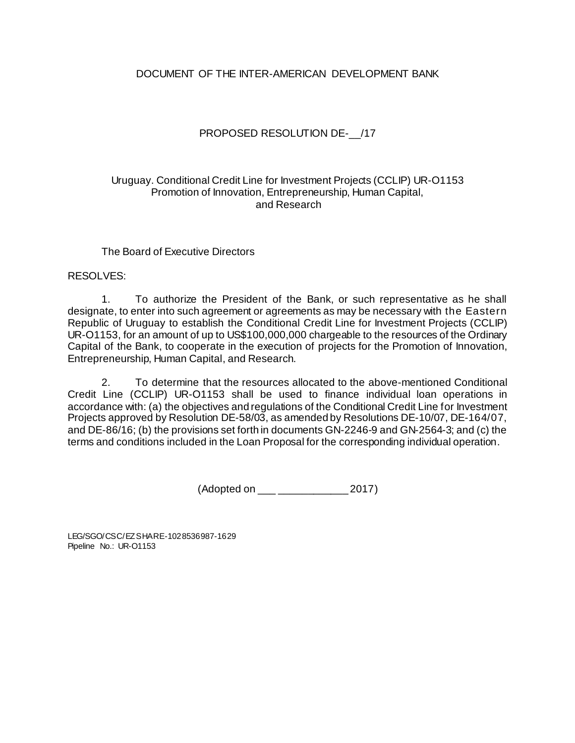### DOCUMENT OF THE INTER-AMERICAN DEVELOPMENT BANK

### PROPOSED RESOLUTION DE- /17

### Uruguay. Conditional Credit Line for Investment Projects (CCLIP) UR-O1153 Promotion of Innovation, Entrepreneurship, Human Capital, and Research

### The Board of Executive Directors

### RESOLVES:

1. To authorize the President of the Bank, or such representative as he shall designate, to enter into such agreement or agreements as may be necessary with the Eastern Republic of Uruguay to establish the Conditional Credit Line for Investment Projects (CCLIP) UR-O1153, for an amount of up to US\$100,000,000 chargeable to the resources of the Ordinary Capital of the Bank, to cooperate in the execution of projects for the Promotion of Innovation, Entrepreneurship, Human Capital, and Research.

2. To determine that the resources allocated to the above-mentioned Conditional Credit Line (CCLIP) UR-O1153 shall be used to finance individual loan operations in accordance with: (a) the objectives and regulations of the Conditional Credit Line for Investment Projects approved by Resolution DE-58/03, as amended by Resolutions DE-10/07, DE-164/07, and DE-86/16; (b) the provisions set forth in documents GN-2246-9 and GN-2564-3; and (c) the terms and conditions included in the Loan Proposal for the corresponding individual operation.

(Adopted on \_\_\_ \_\_\_\_\_\_\_\_\_\_\_\_ 2017)

LEG/SGO/CSC/EZSHARE-1028536987-1629 Pipeline No.: UR-O1153